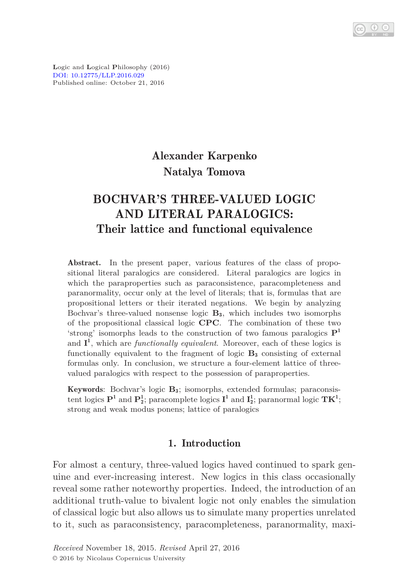**L**ogic and **L**ogical **P**hilosophy (2016) [DOI: 10.12775/LLP.2016.029](http://dx.doi.org/10.12775/LLP.2016.029) Published online: October 21, 2016

# Alexander Karpenko Natalya Tomova

# BOCHVAR'S THREE-VALUED LOGIC AND LITERAL PARALOGICS: Their lattice and functional equivalence

Abstract. In the present paper, various features of the class of propositional literal paralogics are considered. Literal paralogics are logics in which the paraproperties such as paraconsistence, paracompleteness and paranormality, occur only at the level of literals; that is, formulas that are propositional letters or their iterated negations. We begin by analyzing Bochvar's three-valued nonsense logic **B**3, which includes two isomorphs of the propositional classical logic **CPC**. The combination of these two 'strong' isomorphs leads to the construction of two famous paralogics **P** 1 and **I** 1 , which are *functionally equivalent*. Moreover, each of these logics is functionally equivalent to the fragment of logic **B**<sup>3</sup> consisting of external formulas only. In conclusion, we structure a four-element lattice of threevalued paralogics with respect to the possession of paraproperties.

Keywords: Bochvar's logic **B**3; isomorphs, extended formulas; paraconsistent logics  $\mathbf{P}^1$  and  $\mathbf{P}^1_2$ ; paracomplete logics  $\mathbf{I}^1$  and  $\mathbf{I}^1_2$ ; paranormal logic  $\mathbf{TK}^1$ ; strong and weak modus ponens; lattice of paralogics

# 1. Introduction

For almost a century, three-valued logics haved continued to spark genuine and ever-increasing interest. New logics in this class occasionally reveal some rather noteworthy properties. Indeed, the introduction of an additional truth-value to bivalent logic not only enables the simulation of classical logic but also allows us to simulate many properties unrelated to it, such as paraconsistency, paracompleteness, paranormality, maxi-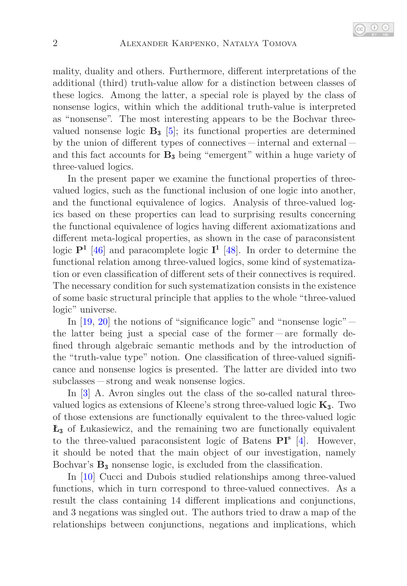

mality, duality and others. Furthermore, different interpretations of the additional (third) truth-value allow for a distinction between classes of these logics. Among the latter, a special role is played by the class of nonsense logics, within which the additional truth-value is interpreted as "nonsense". The most interesting appears to be the Bochvar threevalued nonsense logic  $\mathbf{B}_3$  [\[5\]](#page-25-0); its functional properties are determined by the union of different types of connectives – internal and external – and this fact accounts for **B**<sup>3</sup> being "emergent" within a huge variety of three-valued logics.

In the present paper we examine the functional properties of threevalued logics, such as the functional inclusion of one logic into another, and the functional equivalence of logics. Analysis of three-valued logics based on these properties can lead to surprising results concerning the functional equivalence of logics having different axiomatizations and different meta-logical properties, as shown in the case of paraconsistent logic **P**<sup>1</sup> [\[46\]](#page-28-0) and paracomplete logic **I** 1 [\[48\]](#page-28-1). In order to determine the functional relation among three-valued logics, some kind of systematization or even classification of different sets of their connectives is required. The necessary condition for such systematization consists in the existence of some basic structural principle that applies to the whole "three-valued logic" universe.

In  $[19, 20]$  $[19, 20]$  the notions of "significance logic" and "nonsense logic"  $$ the latter being just a special case of the former  $-$  are formally defined through algebraic semantic methods and by the introduction of the "truth-value type" notion. One classification of three-valued significance and nonsense logics is presented. The latter are divided into two subclasses – strong and weak nonsense logics.

In [\[3\]](#page-25-1) A. Avron singles out the class of the so-called natural threevalued logics as extensions of Kleene's strong three-valued logic **K**3. Two of those extensions are functionally equivalent to the three-valued logic **Ł**<sup>3</sup> of Łukasiewicz, and the remaining two are functionally equivalent to the three-valued paraconsistent logic of Batens **PI**<sup>s</sup> [\[4\]](#page-25-2). However, it should be noted that the main object of our investigation, namely Bochvar's **B**<sup>3</sup> nonsense logic, is excluded from the classification.

In [\[10\]](#page-26-2) Cucci and Dubois studied relationships among three-valued functions, which in turn correspond to three-valued connectives. As a result the class containing 14 different implications and conjunctions, and 3 negations was singled out. The authors tried to draw a map of the relationships between conjunctions, negations and implications, which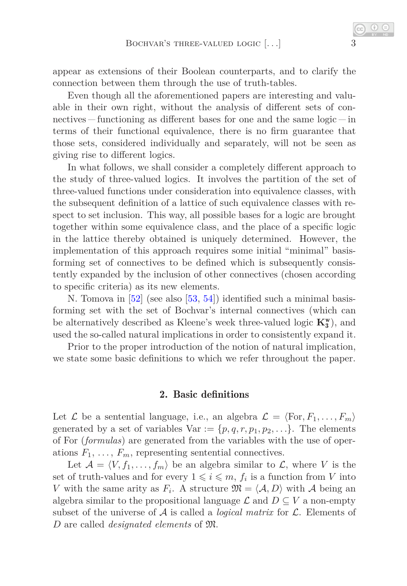appear as extensions of their Boolean counterparts, and to clarify the connection between them through the use of truth-tables.

Even though all the aforementioned papers are interesting and valuable in their own right, without the analysis of different sets of connectives  $\frac{1}{\pi}$  functioning as different bases for one and the same logic  $\frac{1}{\pi}$  in terms of their functional equivalence, there is no firm guarantee that those sets, considered individually and separately, will not be seen as giving rise to different logics.

In what follows, we shall consider a completely different approach to the study of three-valued logics. It involves the partition of the set of three-valued functions under consideration into equivalence classes, with the subsequent definition of a lattice of such equivalence classes with respect to set inclusion. This way, all possible bases for a logic are brought together within some equivalence class, and the place of a specific logic in the lattice thereby obtained is uniquely determined. However, the implementation of this approach requires some initial "minimal" basisforming set of connectives to be defined which is subsequently consistently expanded by the inclusion of other connectives (chosen according to specific criteria) as its new elements.

N. Tomova in [\[52\]](#page-28-2) (see also [\[53,](#page-28-3) [54\]](#page-28-4)) identified such a minimal basisforming set with the set of Bochvar's internal connectives (which can be alternatively described as Kleene's week three-valued logic  $K_3^w$ ), and used the so-called natural implications in order to consistently expand it.

<span id="page-2-0"></span>Prior to the proper introduction of the notion of natural implication, we state some basic definitions to which we refer throughout the paper.

# 2. Basic definitions

Let  $\mathcal{L}$  be a sentential language, i.e., an algebra  $\mathcal{L} = \langle \text{For}, F_1, \ldots, F_m \rangle$ generated by a set of variables  $Var := \{p, q, r, p_1, p_2, \ldots\}$ . The elements of For (*formulas*) are generated from the variables with the use of operations  $F_1, \ldots, F_m$ , representing sentential connectives.

Let  $\mathcal{A} = \langle V, f_1, \ldots, f_m \rangle$  be an algebra similar to  $\mathcal{L}$ , where *V* is the set of truth-values and for every  $1 \leqslant i \leqslant m$ ,  $f_i$  is a function from *V* into *V* with the same arity as  $F_i$ . A structure  $\mathfrak{M} = \langle A, D \rangle$  with A being an algebra similar to the propositional language  $\mathcal L$  and  $D \subseteq V$  a non-empty subset of the universe of  $A$  is called a *logical matrix* for  $\mathcal{L}$ . Elements of *D* are called *designated elements* of M.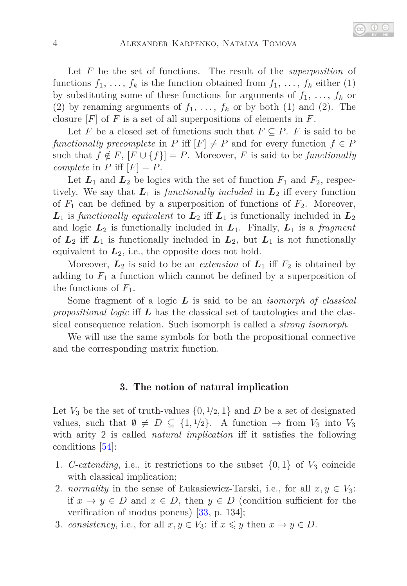Let *F* be the set of functions. The result of the *superposition* of functions  $f_1, \ldots, f_k$  is the function obtained from  $f_1, \ldots, f_k$  either (1) by substituting some of these functions for arguments of  $f_1, \ldots, f_k$  or (2) by renaming arguments of  $f_1, \ldots, f_k$  or by both (1) and (2). The closure [*F*] of *F* is a set of all superpositions of elements in *F*.

Let *F* be a closed set of functions such that  $F \subseteq P$ . *F* is said to be *functionally precomplete* in *P* iff  $[F] \neq P$  and for every function  $f \in P$ such that  $f \notin F$ ,  $[F \cup \{f\}] = P$ . Moreover, *F* is said to be *functionally complete* in  $P$  iff  $[F] = P$ .

Let  $L_1$  and  $L_2$  be logics with the set of function  $F_1$  and  $F_2$ , respectively. We say that  $L_1$  is *functionally included* in  $L_2$  iff every function of  $F_1$  can be defined by a superposition of functions of  $F_2$ . Moreover,  $L_1$  is *functionally equivalent* to  $L_2$  iff  $L_1$  is functionally included in  $L_2$ and logic  $L_2$  is functionally included in  $L_1$ . Finally,  $L_1$  is a *fragment* of  $L_2$  iff  $L_1$  is functionally included in  $L_2$ , but  $L_1$  is not functionally equivalent to  $L_2$ , i.e., the opposite does not hold.

Moreover,  $L_2$  is said to be an *extension* of  $L_1$  iff  $F_2$  is obtained by adding to  $F_1$  a function which cannot be defined by a superposition of the functions of *F*1.

Some fragment of a logic *L* is said to be an *isomorph of classical propositional logic* iff *L* has the classical set of tautologies and the classical consequence relation. Such isomorph is called a *strong isomorph*.

<span id="page-3-2"></span>We will use the same symbols for both the propositional connective and the corresponding matrix function.

### 3. The notion of natural implication

Let  $V_3$  be the set of truth-values  $\{0, 1/2, 1\}$  and  $D$  be a set of designated values, such that  $\emptyset \neq D \subseteq \{1, 1/2\}$ . A function  $\rightarrow$  from  $V_3$  into  $V_3$ with arity 2 is called *natural implication* iff it satisfies the following conditions [\[54\]](#page-28-4):

- <span id="page-3-3"></span><span id="page-3-0"></span>1. *C-extending*, i.e., it restrictions to the subset  $\{0, 1\}$  of  $V_3$  coincide with classical implication;
- 2. *normality* in the sense of Łukasiewicz-Tarski, i.e., for all  $x, y \in V_3$ : if  $x \to y \in D$  and  $x \in D$ , then  $y \in D$  (condition sufficient for the verification of modus ponens) [\[33,](#page-27-0) p. 134];
- <span id="page-3-1"></span>3. *consistency*, i.e., for all  $x, y \in V_3$ : if  $x \leq y$  then  $x \to y \in D$ .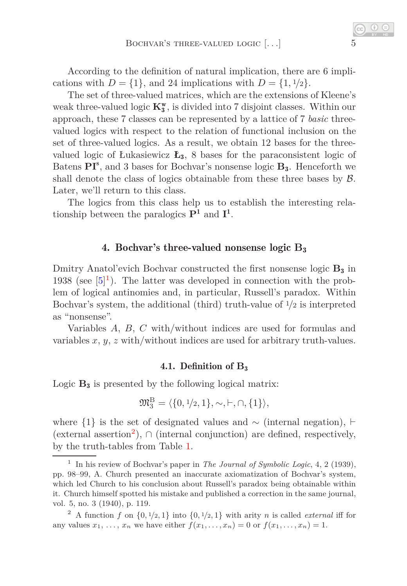According to the definition of natural implication, there are 6 implications with  $D = \{1\}$ , and 24 implications with  $D = \{1, \frac{1}{2}\}.$ 

The set of three-valued matrices, which are the extensions of Kleene's weak three-valued logic  $\mathbf{K^w_3}$  is divided into 7 disjoint classes. Within our approach, these 7 classes can be represented by a lattice of 7 *basic* threevalued logics with respect to the relation of functional inclusion on the set of three-valued logics. As a result, we obtain 12 bases for the threevalued logic of Łukasiewicz **Ł**3, 8 bases for the paraconsistent logic of Batens $\mathbf{P}\mathbf{I}^s$  , and 3 bases for Bochvar's nonsense logic  $\mathbf{B_3}$  . Henceforth we shall denote the class of logics obtainable from these three bases by  $\beta$ . Later, we'll return to this class.

The logics from this class help us to establish the interesting relationship between the paralogics **P**<sup>1</sup> and **I** 1 .

## 4. Bochvar's three-valued nonsense logic **B**<sup>3</sup>

Dmitry Anatol'evich Bochvar constructed the first nonsense logic **B**<sup>3</sup> in [1](#page-4-0)938 (see  $[5]^1$ ). The latter was developed in connection with the problem of logical antinomies and, in particular, Russell's paradox. Within Bochvar's system, the additional (third) truth-value of 1*/*2 is interpreted as "nonsense".

Variables *A*, *B*, *C* with/without indices are used for formulas and variables *x*, *y*, *z* with/without indices are used for arbitrary truth-values.

### 4.1. Definition of **B**<sup>3</sup>

Logic **B**<sup>3</sup> is presented by the following logical matrix:

$$
\mathfrak{M}^{\mathrm{B}}_3=\langle\{0,1/2,1\},\sim,\vdash,\cap,\{1\}\rangle,
$$

where  $\{1\}$  is the set of designated values and ~ (internal negation), ⊢ (external assertion<sup>[2](#page-4-1)</sup>),  $\cap$  (internal conjunction) are defined, respectively, by the truth-tables from Table [1.](#page-5-0)

<span id="page-4-0"></span><sup>1</sup> In his review of Bochvar's paper in *The Journal of Symbolic Logic*, 4, 2 (1939), pp. 98–99, A. Church presented an inaccurate axiomatization of Bochvar's system, which led Church to his conclusion about Russell's paradox being obtainable within it. Church himself spotted his mistake and published a correction in the same journal, vol. 5, no. 3 (1940), p. 119.

<span id="page-4-1"></span><sup>&</sup>lt;sup>2</sup> A function *f* on  $\{0, 1/2, 1\}$  into  $\{0, 1/2, 1\}$  with arity *n* is called *external* iff for any values  $x_1, ..., x_n$  we have either  $f(x_1, ..., x_n) = 0$  or  $f(x_1, ..., x_n) = 1$ .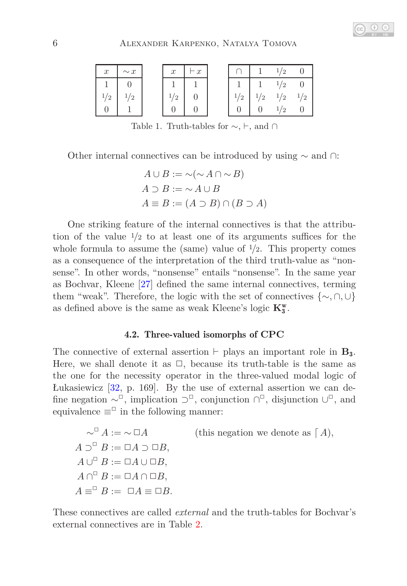## 6 Alexander Karpenko, Natalya Tomova

| $\boldsymbol{x}$ | $\sim x$ | $\boldsymbol{x}$ | $-x$ |          |               | $\mathcal{D}$   |          |
|------------------|----------|------------------|------|----------|---------------|-----------------|----------|
|                  |          |                  |      |          |               | $1 \frac{1}{2}$ |          |
| $^{\prime}2$     | $^{1/2}$ | '2               |      | $^{1/2}$ | $\frac{1}{2}$ | 1/2             | $^{1/2}$ |
|                  |          |                  |      |          |               | $^{\prime}2$    |          |

<span id="page-5-0"></span>Table 1. Truth-tables for  $\sim, \vdash,$  and ∩

Other internal connectives can be introduced by using ∼ and ∩:

$$
A \cup B := \sim (\sim A \cap \sim B)
$$
  

$$
A \supset B := \sim A \cup B
$$
  

$$
A \equiv B := (A \supset B) \cap (B \supset A)
$$

One striking feature of the internal connectives is that the attribution of the value 1*/*2 to at least one of its arguments suffices for the whole formula to assume the (same) value of  $\frac{1}{2}$ . This property comes as a consequence of the interpretation of the third truth-value as "nonsense". In other words, "nonsense" entails "nonsense". In the same year as Bochvar, Kleene [\[27\]](#page-27-1) defined the same internal connectives, terming them "weak". Therefore, the logic with the set of connectives {∼*,* ∩*,* ∪} as defined above is the same as weak Kleene's logic  $\mathbf{K}_{3}^{\textrm{w}}.$ 

## 4.2. Three-valued isomorphs of **CPC**

<span id="page-5-1"></span>The connective of external assertion  $\vdash$  plays an important role in **B**<sub>3</sub>. Here, we shall denote it as  $\square$ , because its truth-table is the same as the one for the necessity operator in the three-valued modal logic of Łukasiewicz [\[32,](#page-27-2) p. 169]. By the use of external assertion we can define negation  $\sim^{\mathbb{Z}}$ , implication  $\supset^{\mathbb{Z}}$ , conjunction  $\bigcap^{\mathbb{Z}}$ , disjunction  $\bigcup^{\mathbb{Z}}$ , and equivalence  $\equiv^{\square}$  in the following manner:

$$
\begin{aligned}\n&\sim^{\square} A := \sim \square A \\
A \supset^{\square} B := \square A \supset \square B, \\
A \cup^{\square} B := \square A \cup \square B, \\
A \cap^{\square} B := \square A \cap \square B, \\
A \equiv^{\square} B := \square A \sqcap \square B, \\
A \equiv^{\square} B := \square A \equiv \square B.\n\end{aligned}
$$
\n(this negation we denote as  $[A],$ 

These connectives are called *external* and the truth-tables for Bochvar's external connectives are in Table [2.](#page-6-0)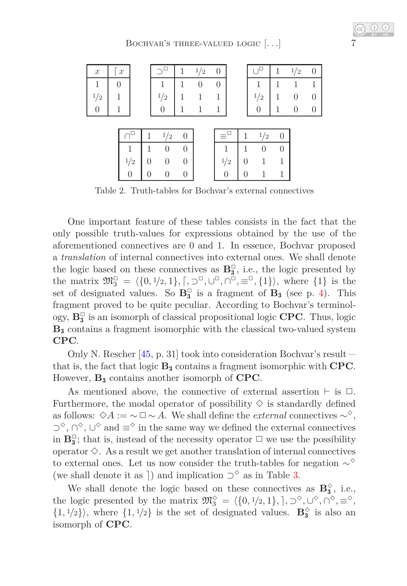| $\boldsymbol{x}$ |                  | $\boldsymbol{x}$ |    |          |          | 1                | 1/2    | 0                |     |                  |     | 1 | 1/2      | $\theta$ |
|------------------|------------------|------------------|----|----------|----------|------------------|--------|------------------|-----|------------------|-----|---|----------|----------|
|                  | $\boldsymbol{0}$ |                  |    |          |          | 1                | $\cup$ | 0                |     |                  | 1   |   |          | 1        |
| 1/2              | 1                |                  |    |          | 1/2      |                  |        |                  |     |                  | 1/2 | 1 |          | $\cup$   |
|                  |                  |                  |    |          | $\Omega$ | 1                |        | 1                |     |                  | 0   | 1 | $\theta$ | $\cup$   |
|                  |                  |                  |    |          |          |                  |        |                  |     |                  |     |   |          |          |
|                  |                  |                  |    |          | 1/2      | $\theta$         |        |                  |     | 1                | 1/2 | 0 |          |          |
|                  |                  |                  | 1  |          |          | $\theta$         |        |                  | 1   | 1                |     | 0 |          |          |
|                  |                  |                  | '2 | $\Omega$ | 0        | 0                |        |                  | 1/2 | 0                |     |   |          |          |
|                  |                  |                  |    | $\theta$ | 0        | $\boldsymbol{0}$ |        | $\boldsymbol{0}$ |     | $\boldsymbol{0}$ |     | 1 |          |          |

<span id="page-6-0"></span>Table 2. Truth-tables for Bochvar's external connectives

One important feature of these tables consists in the fact that the only possible truth-values for expressions obtained by the use of the aforementioned connectives are 0 and 1. In essence, Bochvar proposed a *translation* of internal connectives into external ones. We shall denote the logic based on these connectives as  $\mathbf{B}_{3}^{\square}$ , i.e., the logic presented by the matrix  $\mathfrak{M}_3^{\square} = \langle \{0, 1/2, 1\}, \lceil, \supseteq^{\square}, \bigcup_{i=1}^{\square}, \lceil, \bigcap_{i=1}^{\square}, \{1\} \rangle$ , where  $\{1\}$  is the set of designated values. So  $\mathbf{B}_3^{\square}$  is a fragment of  $\mathbf{B}_3$  (see p. [4\)](#page-2-0). This fragment proved to be quite peculiar. According to Bochvar's terminology,  $\mathbf{B}_{\mathbf{3}}^{\square}$  is an isomorph of classical propositional logic  $\mathbf{CPC}.$  Thus, logic **B**<sup>3</sup> contains a fragment isomorphic with the classical two-valued system **CPC**.

Only N. Rescher [\[45,](#page-28-5) p. 31] took into consideration Bochvar's result that is, the fact that logic **B**<sup>3</sup> contains a fragment isomorphic with **CPC**. However, **B**<sup>3</sup> contains another isomorph of **CPC**.

As mentioned above, the connective of external assertion  $\vdash$  is  $\Box$ . Furthermore, the modal operator of possibility  $\Diamond$  is standardly defined as follows:  $\diamond A := \neg \square \neg A$ . We shall define the *external* connectives  $\sim^{\diamond}$ ,  $\supset^{\diamond}$ ,  $\bigcap^{\diamond}$ ,  $\bigcup^{\diamond}$  and  $\equiv^{\diamond}$  in the same way we defined the external connectives in  $\mathbf{B}_3^{\square}$ ; that is, instead of the necessity operator  $\square$  we use the possibility operator  $\Diamond$ . As a result we get another translation of internal connectives to external ones. Let us now consider the truth-tables for negation  $\sim^{\diamond}$ (we shall denote it as  $\rceil)$  and implication  $\supset^{\diamond}$  as in Table [3.](#page-7-0)

We shall denote the logic based on these connectives as  $\mathbf{B}_3^{\diamond}$ , i.e., the logic presented by the matrix  $\mathfrak{M}_{3}^{\diamond} = \langle \{0, 1/2, 1\}, \cdot, \cdot \rangle^{\diamond}, \cdot \cdot \rangle^{\diamond}, \cdot \infty^{\diamond}, \pm \infty$  $\{1, \frac{1}{2}\}\$ , where  $\{1, \frac{1}{2}\}$  is the set of designated values. **B**<sup> $\diamond$ </sup> is also an isomorph of **CPC**.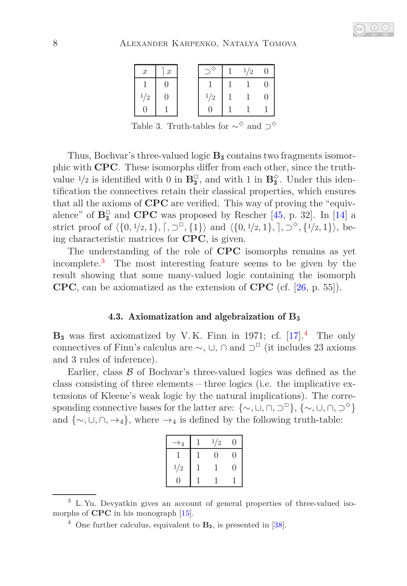## 8 Alexander Karpenko, Natalya Tomova

| $\boldsymbol{x}$ | $\boldsymbol{x}$ |     | 1/2 |  |
|------------------|------------------|-----|-----|--|
|                  | 0                |     |     |  |
| $\frac{1}{2}$    | $\mathbf{0}$     | 1/2 |     |  |
|                  |                  |     |     |  |

<span id="page-7-0"></span>Table 3. Truth-tables for  $\sim^{\diamond}$  and  $\supset^{\diamond}$ 

Thus, Bochvar's three-valued logic **B**<sup>3</sup> contains two fragments isomorphic with **CPC**. These isomorphs differ from each other, since the truthvalue  $\frac{1}{2}$  is identified with 0 in  $\mathbf{B}_{3}^{\square}$ , and with 1 in  $\mathbf{B}_{3}^{\lozenge}$ . Under this identification the connectives retain their classical properties, which ensures that all the axioms of **CPC** are verified. This way of proving the "equivalence" of  $\mathbf{B}_3^{\square}$  and **CPC** was proposed by Rescher [\[45,](#page-28-5) p. 32]. In [\[14\]](#page-26-3) a strict proof of  $\langle \{0, \frac{1}{2}, 1\}, \lceil, \supset^{\Box}, \{1\} \rangle$  and  $\langle \{0, \frac{1}{2}, 1\}, \lceil, \supset^{\Diamond}, \{1/2, 1\} \rangle$ , being characteristic matrices for **CPC**, is given.

The understanding of the role of **CPC** isomorphs remains as yet incomplete.[3](#page-7-1) The most interesting feature seems to be given by the result showing that some many-valued logic containing the isomorph **CPC**, can be axiomatized as the extension of **CPC** (cf. [\[26,](#page-27-3) p. 55]).

## 4.3. Axiomatization and algebraization of **B**<sup>3</sup>

**B**<sup>3</sup> was first axiomatized by V. K. Finn in 1971; cf. [\[17\]](#page-26-4).[4](#page-7-2) The only connectives of Finn's calculus are  $\sim$ ,  $\cup$ ,  $\cap$  and  $\supset$ <sup>□</sup> (it includes 23 axioms and 3 rules of inference).

Earlier, class  $\beta$  of Bochvar's three-valued logics was defined as the class consisting of three elements  $-\text{three}$  logics (i.e. the implicative extensions of Kleene's weak logic by the natural implications). The corresponding connective bases for the latter are:  $\{\sim, \cup, \cap, \supset^{\Box}\}, \{\sim, \cup, \cap, \supset^{\Diamond}\}$ and  $\{\sim, \cup, \cap, \rightarrow_4\}$ , where  $\rightarrow_4$  is defined by the following truth-table:

|     | 1/2 |   |
|-----|-----|---|
|     | 0   | 9 |
| 1/2 |     | 0 |
|     |     |   |

<sup>3</sup> L. Yu. Devyatkin gives an account of general properties of three-valued isomorphs of **CPC** in his monograph [\[15\]](#page-26-5).

<span id="page-7-2"></span><span id="page-7-1"></span><sup>4</sup> One further calculus, equivalent to **B**3, is presented in [\[38\]](#page-27-4).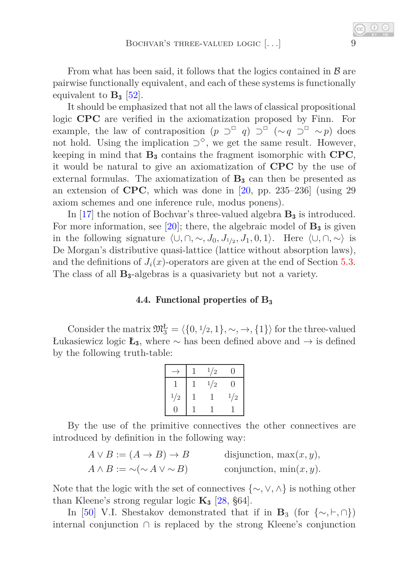From what has been said, it follows that the logics contained in  $\beta$  are pairwise functionally equivalent, and each of these systems is functionally equivalent to  $\mathbf{B}_3$  [\[52\]](#page-28-2).

It should be emphasized that not all the laws of classical propositional logic **CPC** are verified in the axiomatization proposed by Finn. For example, the law of contraposition  $(p \supseteq^{\Box} q) \supseteq^{\Box} (\sim q \supseteq^{\Box} \sim p)$  does not hold. Using the implication  $\supset^{\diamond}$ , we get the same result. However, keeping in mind that **B**<sup>3</sup> contains the fragment isomorphic with **CPC**, it would be natural to give an axiomatization of **CPC** by the use of external formulas. The axiomatization of  $B_3$  can then be presented as an extension of **CPC**, which was done in [\[20,](#page-26-1) pp. 235–236] (using 29 axiom schemes and one inference rule, modus ponens).

In [\[17\]](#page-26-4) the notion of Bochvar's three-valued algebra **B**<sup>3</sup> is introduced. For more information, see  $[20]$ ; there, the algebraic model of  $\mathbf{B}_3$  is given in the following signature  $\langle \cup, \cap, \sim, J_0, J_{1/2}, J_1, 0, 1 \rangle$ . Here  $\langle \cup, \cap, \sim \rangle$  is De Morgan's distributive quasi-lattice (lattice without absorption laws), and the definitions of  $J_i(x)$ -operators are given at the end of Section [5.3.](#page-13-0) The class of all **B**3-algebras is a quasivariety but not a variety.

## 4.4. Functional properties of **B**<sup>3</sup>

<span id="page-8-0"></span>Consider the matrix  $\mathfrak{M}_{3}^{\mathbb{L}} = \langle \{0, 1/2, 1\}, \sim, \rightarrow, \{1\} \rangle$  for the three-valued Łukasiewicz logic **Ł**3, where ∼ has been defined above and → is defined by the following truth-table:

|     | 1/2 |     |
|-----|-----|-----|
|     | 1/2 | O   |
| 1/2 |     | 1/2 |
|     |     |     |

By the use of the primitive connectives the other connectives are introduced by definition in the following way:

| $A \vee B := (A \rightarrow B) \rightarrow B$ | disjunction, $\max(x, y)$ , |
|-----------------------------------------------|-----------------------------|
| $A \wedge B := \sim (\sim A \vee \sim B)$     | conjunction, $\min(x, y)$ . |

Note that the logic with the set of connectives {∼*,* ∨*,* ∧} is nothing other than Kleene's strong regular logic  $K_3$  [\[28,](#page-27-5) §64].

In [\[50\]](#page-28-6) V.I. Shestakov demonstrated that if in **B**<sub>3</sub> (for  $\{\sim, \vdash, \cap\}$ ) internal conjunction ∩ is replaced by the strong Kleene's conjunction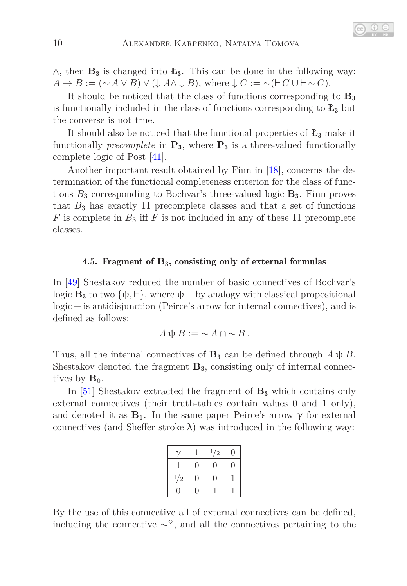∧, then **B**<sup>3</sup> is changed into **Ł**3. This can be done in the following way:  $A \rightarrow B := (\sim A \vee B) \vee (\downarrow A \wedge \downarrow B)$ , where  $\downarrow C := \sim (\vdash C \cup \vdash \sim C)$ .

It should be noticed that the class of functions corresponding to **B**<sup>3</sup> is functionally included in the class of functions corresponding to  $\mathbf{L}_3$  but the converse is not true.

It should also be noticed that the functional properties of **Ł**<sup>3</sup> make it functionally *precomplete* in  $\mathbf{P}_3$ , where  $\mathbf{P}_3$  is a three-valued functionally complete logic of Post [\[41\]](#page-27-6).

Another important result obtained by Finn in [\[18\]](#page-26-6), concerns the determination of the functional completeness criterion for the class of functions  $B_3$  corresponding to Bochvar's three-valued logic  $B_3$ . Finn proves that  $B_3$  has exactly 11 precomplete classes and that a set of functions *F* is complete in  $B_3$  iff *F* is not included in any of these 11 precomplete classes.

# <span id="page-9-0"></span>4.5. Fragment of **B**3, consisting only of external formulas

In [\[49\]](#page-28-7) Shestakov reduced the number of basic connectives of Bochvar's logic  $\mathbf{B}_3$  to two  $\{\psi, \vdash\}$ , where  $\psi$   $\vdash$  by analogy with classical propositional logic – is antidisjunction (Peirce's arrow for internal connectives), and is defined as follows:

$$
A\psi B := \sim A \cap \sim B.
$$

Thus, all the internal connectives of  $\mathbf{B}_3$  can be defined through  $A \psi B$ . Shestakov denoted the fragment **B**3, consisting only of internal connectives by  $\mathbf{B}_0$ .

In [\[51\]](#page-28-8) Shestakov extracted the fragment of **B**<sup>3</sup> which contains only external connectives (their truth-tables contain values 0 and 1 only), and denoted it as  $\mathbf{B}_1$ . In the same paper Peirce's arrow  $\gamma$  for external connectives (and Sheffer stroke  $\lambda$ ) was introduced in the following way:

|     |                | 1/2 |  |
|-----|----------------|-----|--|
|     | 0              | 0   |  |
| 1/2 | $\overline{0}$ | 0   |  |
|     |                |     |  |

By the use of this connective all of external connectives can be defined, including the connective  $\sim^{\diamond}$ , and all the connectives pertaining to the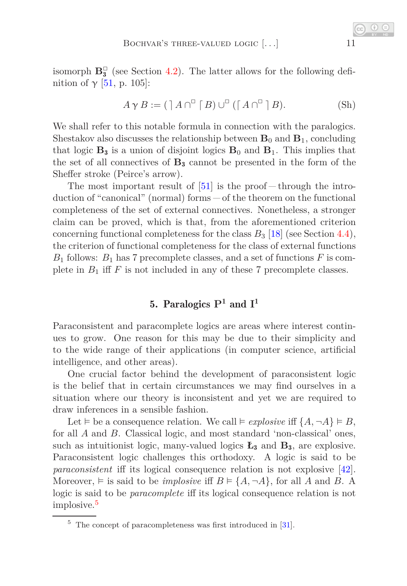isomorph  $\mathbf{B}_{3}^{\square}$  (see Section [4.2\)](#page-5-1). The latter allows for the following definition of  $\gamma$  [\[51,](#page-28-8) p. 105]:

$$
A \gamma B := (\mathcal{A} \cap^{\mathbb{D}} \mathcal{A}) \cup^{\mathbb{D}} (\mathcal{A} \cap^{\mathbb{D}} \mathcal{A} B). \tag{Sh}
$$

We shall refer to this notable formula in connection with the paralogics. Shestakov also discusses the relationship between  $\mathbf{B}_0$  and  $\mathbf{B}_1$ , concluding that logic  $\mathbf{B}_3$  is a union of disjoint logics  $\mathbf{B}_0$  and  $\mathbf{B}_1$ . This implies that the set of all connectives of **B**<sup>3</sup> cannot be presented in the form of the Sheffer stroke (Peirce's arrow).

The most important result of  $[51]$  is the proof  $-$  through the introduction of "canonical" (normal) forms  $-$  of the theorem on the functional completeness of the set of external connectives. Nonetheless, a stronger claim can be proved, which is that, from the aforementioned criterion concerning functional completeness for the class  $B_3$  [\[18\]](#page-26-6) (see Section [4.4\)](#page-8-0), the criterion of functional completeness for the class of external functions *B*<sup>1</sup> follows: *B*<sup>1</sup> has 7 precomplete classes, and a set of functions *F* is complete in  $B_1$  iff  $F$  is not included in any of these 7 precomplete classes.

# 5. Paralogics **P**<sup>1</sup> and **I** 1

Paraconsistent and paracomplete logics are areas where interest continues to grow. One reason for this may be due to their simplicity and to the wide range of their applications (in computer science, artificial intelligence, and other areas).

One crucial factor behind the development of paraconsistent logic is the belief that in certain circumstances we may find ourselves in a situation where our theory is inconsistent and yet we are required to draw inferences in a sensible fashion.

Let  $\models$  be a consequence relation. We call  $\models$  *explosive* iff  $\{A, \neg A\} \models B$ , for all *A* and *B*. Classical logic, and most standard 'non-classical' ones, such as intuitionist logic, many-valued logics **Ł**<sup>3</sup> and **B**3, are explosive. Paraconsistent logic challenges this orthodoxy. A logic is said to be *paraconsistent* iff its logical consequence relation is not explosive [\[42\]](#page-28-9). Moreover,  $\models$  is said to be *implosive* iff  $B \models \{A, \neg A\}$ , for all *A* and *B*. A logic is said to be *paracomplete* iff its logical consequence relation is not implosive.[5](#page-10-0)

<span id="page-10-1"></span>

<span id="page-10-0"></span> $5$  The concept of paracompleteness was first introduced in [\[31\]](#page-27-7).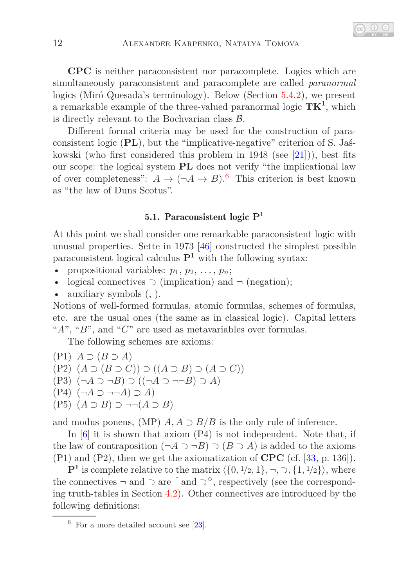**CPC** is neither paraconsistent nor paracomplete. Logics which are simultaneously paraconsistent and paracomplete are called *paranormal* logics (Miró Quesada's terminology). Below (Section [5.4.2\)](#page-19-0), we present a remarkable example of the three-valued paranormal logic **TK**<sup>1</sup> , which is directly relevant to the Bochvarian class  $\beta$ .

Different formal criteria may be used for the construction of paraconsistent logic (**PL**), but the "implicative-negative" criterion of S. Jaśkowski (who first considered this problem in  $1948$  (see [\[21\]](#page-26-7))), best fits our scope: the logical system **PL** does not verify "the implicational law of over completeness":  $A \to (\neg A \to B)$ .<sup>[6](#page-11-0)</sup> This criterion is best known as "the law of Duns Scotus".

# 5.1. Paraconsistent logic **P**<sup>1</sup>

At this point we shall consider one remarkable paraconsistent logic with unusual properties. Sette in 1973 [\[46\]](#page-28-0) constructed the simplest possible paraconsistent logical calculus  $\mathbf{P}^1$  with the following syntax:

- propositional variables:  $p_1, p_2, \ldots, p_n$ ;
- logical connectives  $\supset$  (implication) and  $\neg$  (negation);
- auxiliary symbols (, ).

Notions of well-formed formulas, atomic formulas, schemes of formulas, etc. are the usual ones (the same as in classical logic). Capital letters "*A*", "*B*", and "*C*" are used as metavariables over formulas.

The following schemes are axioms:

(P1) *A* ⊃ (*B* ⊃ *A*) (P2) (*A* ⊃ (*B* ⊃ *C*)) ⊃ ((*A* ⊃ *B*) ⊃ (*A* ⊃ *C*)) (P3) (¬*A* ⊃ ¬*B*) ⊃ ((¬*A* ⊃ ¬¬*B*) ⊃ *A*) (P4) (¬*A* ⊃ ¬¬*A*) ⊃ *A*) (P5) (*A* ⊃ *B*) ⊃ ¬¬(*A* ⊃ *B*)

and modus ponens, (MP)  $A, A \supset B/B$  is the only rule of inference.

In [\[6\]](#page-25-3) it is shown that axiom (P4) is not independent. Note that, if the law of contraposition  $(\neg A \supset \neg B) \supset (B \supset A)$  is added to the axioms (P1) and (P2), then we get the axiomatization of **CPC** (cf. [\[33,](#page-27-0) p. 136]).

 $\mathbf{P}^1$  is complete relative to the matrix  $\langle \{0, 1/2, 1\}, \neg, \neg, \{1, 1/2\} \rangle$ , where the connectives  $\neg$  and  $\supset$  are  $\lceil$  and  $\supset^{\diamond}$ , respectively (see the corresponding truth-tables in Section [4.2\)](#page-5-1). Other connectives are introduced by the following definitions:

<span id="page-11-0"></span> $6$  For a more detailed account see [\[23\]](#page-26-8).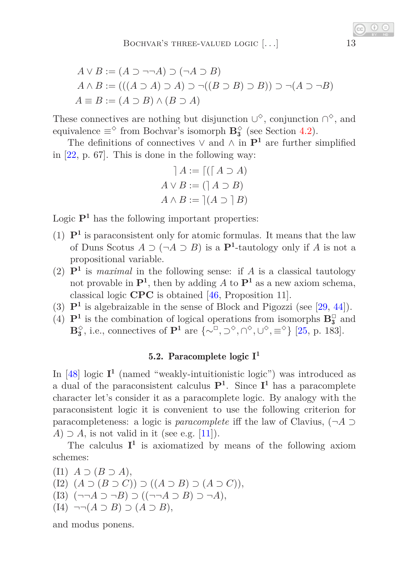$$
A \lor B := (A \supset \neg \neg A) \supset (\neg A \supset B)
$$
  
\n
$$
A \land B := (((A \supset A) \supset A) \supset \neg ((B \supset B) \supset B)) \supset \neg (A \supset \neg B)
$$
  
\n
$$
A \equiv B := (A \supset B) \land (B \supset A)
$$

These connectives are nothing but disjunction  $\cup^{\diamond}$ , conjunction  $\cap^{\diamond}$ , and equivalence  $\equiv^{\Diamond}$  from Bochvar's isomorph  $\mathbf{B}_{3}^{\Diamond}$  (see Section [4.2\)](#page-5-1).

The definitions of connectives  $\vee$  and  $\wedge$  in  $\mathbf{P}^1$  are further simplified in [\[22,](#page-26-9) p. 67]. This is done in the following way:

$$
A := \lceil (\lceil A \supset A \rceil)
$$
  

$$
A \vee B := (\lceil A \supset B \rceil)
$$
  

$$
A \wedge B := \lceil (A \supset \lceil B \rceil)
$$

Logic  $\mathbf{P}^1$  has the following important properties:

- (1)  $\mathbf{P}^1$  is paraconsistent only for atomic formulas. It means that the law of Duns Scotus  $A \supset (\neg A \supset B)$  is a  $\mathbf{P}^1$ -tautology only if  $A$  is not a propositional variable.
- (2)  $\mathbf{P}^1$  is *maximal* in the following sense: if *A* is a classical tautology not provable in  $\mathbf{P}^1$ , then by adding A to  $\mathbf{P}^1$  as a new axiom schema, classical logic **CPC** is obtained [\[46,](#page-28-0) Proposition 11].
- (3)  $\mathbf{P}^1$  is algebraizable in the sense of Block and Pigozzi (see [\[29,](#page-27-8) [44\]](#page-28-10)).
- (4)  $\mathbf{P}^1$  is the combination of logical operations from isomorphs  $\mathbf{B}_3^\square$  and **B**<sup>γ</sup><sub>3</sub>, i.e., connectives of **P**<sup>1</sup> are  $\{\sim$ <sup>*n*</sup>, ⊃<sup> $\diamond$ </sup>, ∩<sup> $\diamond$ </sup>, ∪<sup> $\diamond$ </sup>, ≡<sup> $\diamond$ </sup>} [\[25,](#page-26-10) p. 183].

# 5.2. Paracomplete logic **I** 1

In  $[48]$  logic  $I<sup>1</sup>$  (named "weakly-intuitionistic logic") was introduced as a dual of the paraconsistent calculus **P**<sup>1</sup> . Since **I** <sup>1</sup> has a paracomplete character let's consider it as a paracomplete logic. By analogy with the paraconsistent logic it is convenient to use the following criterion for paracompleteness: a logic is *paracomplete* iff the law of Clavius, (¬*A* ⊃ *A*)  $\supset$  *A*, is not valid in it (see e.g. [\[11\]](#page-26-11)).

The calculus  $I^1$  is axiomatized by means of the following axiom schemes:

 $(I1)$   $A \supset (B \supset A)$ , (I2) (*A* ⊃ (*B* ⊃ *C*)) ⊃ ((*A* ⊃ *B*) ⊃ (*A* ⊃ *C*)), (I3) (¬¬*A* ⊃ ¬*B*) ⊃ ((¬¬*A* ⊃ *B*) ⊃ ¬*A*), (I4) ¬¬(*A* ⊃ *B*) ⊃ (*A* ⊃ *B*),

and modus ponens.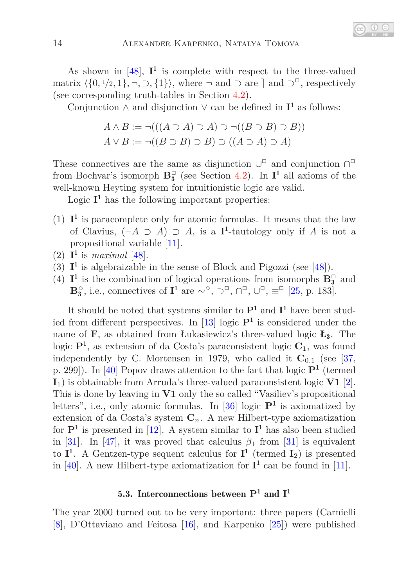As shown in  $[48]$ ,  $I^1$  is complete with respect to the three-valued matrix  $\langle \{0, 1/2, 1\}, \neg, \neg, \{1\} \rangle$ , where  $\neg$  and  $\supset$  are  $\supset$  and  $\supset$ <sup> $\Box$ </sup>, respectively (see corresponding truth-tables in Section [4.2\)](#page-5-1).

Conjunction ∧ and disjunction ∨ can be defined in  $I^1$  as follows:

$$
A \land B := \neg (((A \supset A) \supset A) \supset \neg ((B \supset B) \supset B))
$$
  

$$
A \lor B := \neg ((B \supset B) \supset B) \supset ((A \supset A) \supset A)
$$

These connectives are the same as disjunction  $\cup^{\square}$  and conjunction  $\cap^{\square}$ from Bochvar's isomorph  $\mathbf{B}_3^{\square}$  (see Section [4.2\)](#page-5-1). In  $\mathbf{I}^1$  all axioms of the well-known Heyting system for intuitionistic logic are valid.

Logic  $I<sup>1</sup>$  has the following important properties:

- (1)  $I<sup>1</sup>$  is paracomplete only for atomic formulas. It means that the law of Clavius,  $(\neg A \supset A) \supset A$ , is a **I**<sup>1</sup>-tautology only if *A* is not a propositional variable [\[11\]](#page-26-11).
- (2)  $I^1$  is *maximal* [\[48\]](#page-28-1).
- (3)  $I<sup>1</sup>$  is algebraizable in the sense of Block and Pigozzi (see [\[48\]](#page-28-1)).
- (4)  $\mathbf{I}^1$  is the combination of logical operations from isomorphs  $\mathbf{B}_3^\square$  and **B**<sup> $\diamond$ </sup>, i.e., connectives of **I<sup>1</sup>** are ∼<sup>*⊗*</sup>, ⊃<sup>□</sup>, ∩<sup>□</sup>, ∪<sup>□</sup>, ≡<sup>□</sup> [\[25,](#page-26-10) p. 183].

It should be noted that systems similar to  $\mathbf{P}^1$  and  $\mathbf{I}^1$  have been studied from different perspectives. In [\[13\]](#page-26-12) logic **P**<sup>1</sup> is considered under the name of **F**, as obtained from Łukasiewicz's three-valued logic **Ł**3. The logic **P**<sup>1</sup> , as extension of da Costa's paraconsistent logic **C**1, was found independently by C. Mortensen in 1979, who called it  $C_{0,1}$  (see [\[37,](#page-27-9) p. 299]). In [\[40\]](#page-27-10) Popov draws attention to the fact that logic **P**<sup>1</sup> (termed **I**1) is obtainable from Arruda's three-valued paraconsistent logic **V1** [\[2\]](#page-25-4). This is done by leaving in **V1** only the so called "Vasiliev's propositional letters", i.e., only atomic formulas. In  $[36]$  logic  $P<sup>1</sup>$  is axiomatized by extension of da Costa's system  $C_n$ . A new Hilbert-type axiomatization for  $\mathbf{P}^1$  is presented in [\[12\]](#page-26-13). A system similar to  $\mathbf{I}^1$  has also been studied in [\[31\]](#page-27-7). In [\[47\]](#page-28-11), it was proved that calculus  $\beta_1$  from [31] is equivalent to  $I^1$ . A Gentzen-type sequent calculus for  $I^1$  (termed  $I_2$ ) is presented in [\[40\]](#page-27-10). A new Hilbert-type axiomatization for  $I^1$  can be found in [\[11\]](#page-26-11).

# 5.3. Interconnections between **P**<sup>1</sup> and **I** 1

<span id="page-13-0"></span>The year 2000 turned out to be very important: three papers (Carnielli [\[8\]](#page-25-5), D'Ottaviano and Feitosa [\[16\]](#page-26-14), and Karpenko [\[25\]](#page-26-10)) were published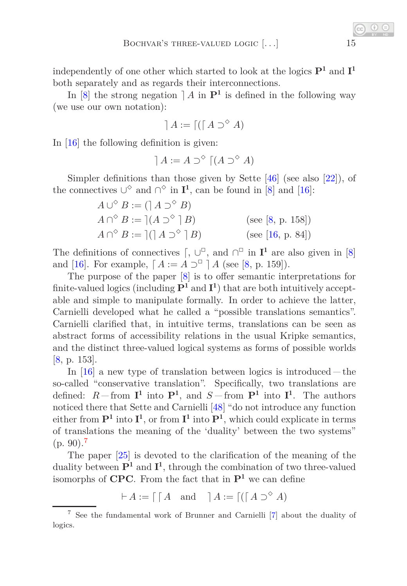independently of one other which started to look at the logics **P**<sup>1</sup> and **I** 1 both separately and as regards their interconnections.

In  $[8]$  the strong negation  $] A$  in  $\mathbf{P}^1$  is defined in the following way (we use our own notation):

$$
A := \lceil (\lceil A \supset^{\diamond} A)
$$

In [\[16\]](#page-26-14) the following definition is given:

$$
A := A \supset^{\diamond} \lceil (A \supset^{\diamond} A)
$$

Simpler definitions than those given by Sette  $[46]$  (see also  $[22]$ ), of the connectives  $\cup^{\diamond}$  and  $\cap^{\diamond}$  in  $\mathbf{I}^1$ , can be found in [\[8\]](#page-25-5) and [\[16\]](#page-26-14):

$$
A \cup^{\diamond} B := (\n \begin{bmatrix} A & \supset^{\diamond} B \end{bmatrix})
$$
\n
$$
A \cap^{\diamond} B := \n \begin{bmatrix} (A \supset^{\diamond} \n \end{bmatrix} B) \qquad \text{(see [8, p. 158])}
$$
\n
$$
A \cap^{\diamond} B := \n \begin{bmatrix} (\n \begin{bmatrix} A & \supset^{\diamond} \n \end{bmatrix} B) \qquad \text{(see [16, p. 84])}
$$

The definitions of connectives  $\lceil, \bigcup^{\square}$ , and  $\bigcap^{\square}$  in  $\mathbf{I}^1$  are also given in  $[8]$ and [\[16\]](#page-26-14). For example,  $[A := A \supseteq^{\Box} A$  (see [\[8,](#page-25-5) p. 159]).

The purpose of the paper [\[8\]](#page-25-5) is to offer semantic interpretations for finite-valued logics (including  $\mathbf{P}^1$  and  $\mathbf{I}^1$ ) that are both intuitively acceptable and simple to manipulate formally. In order to achieve the latter, Carnielli developed what he called a "possible translations semantics". Carnielli clarified that, in intuitive terms, translations can be seen as abstract forms of accessibility relations in the usual Kripke semantics, and the distinct three-valued logical systems as forms of possible worlds [\[8,](#page-25-5) p. 153].

In  $[16]$  a new type of translation between logics is introduced – the so-called "conservative translation". Specifically, two translations are defined:  $R$ -from  $I^1$  into  $I^1$ , and  $S$ -from  $I^1$  into  $I^1$ . The authors noticed there that Sette and Carnielli [\[48\]](#page-28-1) "do not introduce any function either from  $\mathbf{P}^1$  into  $\mathbf{I}^1$ , or from  $\mathbf{I}^1$  into  $\mathbf{P}^1$ , which could explicate in terms of translations the meaning of the 'duality' between the two systems"  $(p. 90).7$  $(p. 90).7$ 

The paper [\[25\]](#page-26-10) is devoted to the clarification of the meaning of the duality between **P**<sup>1</sup> and **I** 1 , through the combination of two three-valued isomorphs of **CPC**. From the fact that in **P**<sup>1</sup> we can define

 $\vdash A := \lceil \begin{bmatrix} A & \text{and} & \end{bmatrix} A := \lceil (\lceil A \rceil)^{\diamond} A) \rceil$ 

<span id="page-14-0"></span><sup>7</sup> See the fundamental work of Brunner and Carnielli [\[7\]](#page-25-6) about the duality of logics.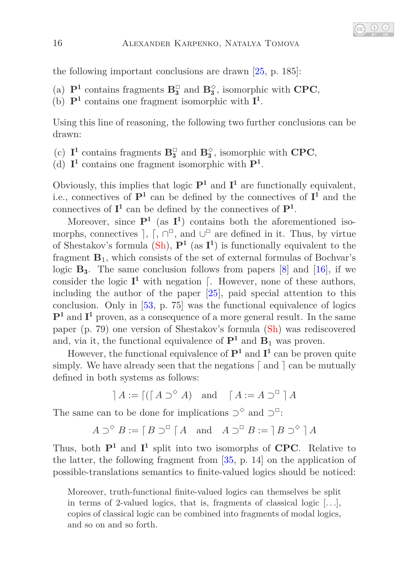the following important conclusions are drawn [\[25,](#page-26-10) p. 185]:

- (a)  $\mathbf{P}^1$  contains fragments  $\mathbf{B}_3^{\square}$  and  $\mathbf{B}_3^{\diamond}$ , isomorphic with **CPC**,
- (b)  $\mathbf{P}^1$  contains one fragment isomorphic with  $\mathbf{I}^1$ .

Using this line of reasoning, the following two further conclusions can be drawn:

- (c)  $I^1$  contains fragments  $B_3^{\square}$  and  $B_3^{\diamond}$ , isomorphic with **CPC**,
- (d)  $I^1$  contains one fragment isomorphic with  $P^1$ .

Obviously, this implies that logic  $\mathbf{P}^1$  and  $\mathbf{I}^1$  are functionally equivalent, i.e., connectives of  $P^1$  can be defined by the connectives of  $I^1$  and the connectives of  $I^1$  can be defined by the connectives of  $P^1$ .

Moreover, since  $P^1$  (as  $I^1$ ) contains both the aforementioned isomorphs, connectives  $\vert$ ,  $\vert$ ,  $\vert \cap \vert^{\square}$ , and  $\cup \vert^{\square}$  are defined in it. Thus, by virtue of Shestakov's formula  $(Sh)$ ,  $P^1$  (as  $I^1$ ) is functionally equivalent to the fragment  $\mathbf{B}_1$ , which consists of the set of external formulas of Bochvar's logic  $\mathbf{B}_3$ . The same conclusion follows from papers [\[8\]](#page-25-5) and [\[16\]](#page-26-14), if we consider the logic  $I^1$  with negation  $\lceil$ . However, none of these authors, including the author of the paper [\[25\]](#page-26-10), paid special attention to this conclusion. Only in [\[53,](#page-28-3) p. 75] was the functional equivalence of logics **P**<sup>1</sup> and **I** <sup>1</sup> proven, as a consequence of a more general result. In the same paper (p. 79) one version of Shestakov's formula [\(Sh\)](#page-10-1) was rediscovered and, via it, the functional equivalence of  $\mathbf{P}^1$  and  $\mathbf{B}_1$  was proven.

However, the functional equivalence of  $P^1$  and  $I^1$  can be proven quite simply. We have already seen that the negations  $\lceil$  and  $\rceil$  can be mutually defined in both systems as follows:

 $A := \left[ (\begin{bmatrix} A \supset^{\diamond} A \end{bmatrix} \text{ and } \begin{bmatrix} A := A \supset^{\square} A \end{bmatrix} \right]$ 

The same can to be done for implications  $\supset^{\diamond}$  and  $\supset^{\square}$ :

 $A \supset^{\diamond} B := [B \supset^{\square} [A \text{ and } A \supset^{\square} B := [B \supset^{\diamond} ] A$ 

Thus, both  $P^1$  and  $I^1$  split into two isomorphs of **CPC**. Relative to the latter, the following fragment from [\[35,](#page-27-12) p. 14] on the application of possible-translations semantics to finite-valued logics should be noticed:

Moreover, truth-functional finite-valued logics can themselves be split in terms of 2-valued logics, that is, fragments of classical logic  $[\ldots]$ , copies of classical logic can be combined into fragments of modal logics, and so on and so forth.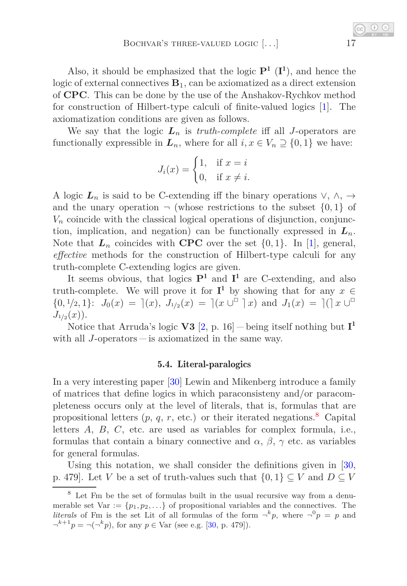Also, it should be emphasized that the logic  $P^1$  ( $I^1$ ), and hence the logic of external connectives  $\mathbf{B}_1$ , can be axiomatized as a direct extension of **CPC**. This can be done by the use of the Anshakov-Rychkov method for construction of Hilbert-type calculi of finite-valued logics [\[1\]](#page-25-7). The axiomatization conditions are given as follows.

We say that the logic  $L_n$  is *truth-complete* iff all *J*-operators are functionally expressible in  $L_n$ , where for all  $i, x \in V_n \supseteq \{0, 1\}$  we have:

$$
J_i(x) = \begin{cases} 1, & \text{if } x = i \\ 0, & \text{if } x \neq i. \end{cases}
$$

A logic  $L_n$  is said to be C-extending iff the binary operations  $\vee, \wedge, \rightarrow$ and the unary operation  $\neg$  (whose restrictions to the subset  $\{0,1\}$  of  $V_n$  coincide with the classical logical operations of disjunction, conjunction, implication, and negation) can be functionally expressed in  $L_n$ . Note that  $L_n$  coincides with **CPC** over the set  $\{0, 1\}$ . In [\[1\]](#page-25-7), general, *effective* methods for the construction of Hilbert-type calculi for any truth-complete C-extending logics are given.

It seems obvious, that logics **P**<sup>1</sup> and **I** <sup>1</sup> are C-extending, and also truth-complete. We will prove it for  $I^1$  by showing that for any  $x \in$  $\{0, \frac{1}{2}, 1\}$ :  $J_0(x) = |(x), J_{1/2}(x)| = |(x \cup \{1\} \cap x)|$  and  $J_1(x) = |(x \cup \{1\} \cap x)|$  $J_{1/2}(x)$ ).

Notice that Arruda's logic **V3**  $[2, p. 16]$  $[2, p. 16]$  – being itself nothing but  $I<sup>1</sup>$ with all *J*-operators  $-\text{is axiized}$  in the same way.

#### 5.4. Literal-paralogics

In a very interesting paper [\[30\]](#page-27-13) Lewin and Mikenberg introduce a family of matrices that define logics in which paraconsisteny and/or paracompleteness occurs only at the level of literals, that is, formulas that are propositional letters  $(p, q, r, \text{etc.})$  or their iterated negations.<sup>[8](#page-16-0)</sup> Capital letters *A*, *B*, *C*, etc. are used as variables for complex formula, i.e., formulas that contain a binary connective and  $\alpha$ ,  $\beta$ ,  $\gamma$  etc. as variables for general formulas.

Using this notation, we shall consider the definitions given in [\[30,](#page-27-13) p. 479]. Let *V* be a set of truth-values such that  $\{0,1\} \subseteq V$  and  $D \subseteq V$ 

<span id="page-16-0"></span><sup>8</sup> Let Fm be the set of formulas built in the usual recursive way from a denumerable set Var  $:= \{p_1, p_2, \ldots\}$  of propositional variables and the connectives. The *literals* of Fm is the set Lit of all formulas of the form  $\neg^k p$ , where  $\neg^0 p = p$  and  $\neg^{k+1}p = \neg(\neg^k p)$ , for any  $p \in \text{Var}$  (see e.g. [\[30,](#page-27-13) p. 479]).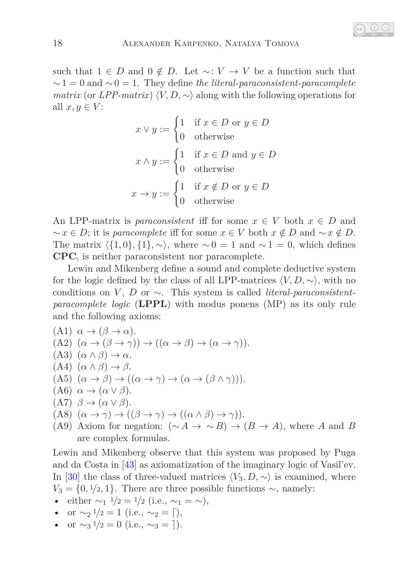such that  $1 \in D$  and  $0 \notin D$ . Let  $\sim: V \to V$  be a function such that  $\sim$ 1 = 0 and  $\sim$  0 = 1. They define *the literal-paraconsistent-paracomplete matrix* (or *LPP-matrix*)  $\langle V, D, \sim \rangle$  along with the following operations for all  $x, y \in V$ :

$$
x \lor y := \begin{cases} 1 & \text{if } x \in D \text{ or } y \in D \\ 0 & \text{otherwise} \end{cases}
$$

$$
x \land y := \begin{cases} 1 & \text{if } x \in D \text{ and } y \in D \\ 0 & \text{otherwise} \end{cases}
$$

$$
x \to y := \begin{cases} 1 & \text{if } x \notin D \text{ or } y \in D \\ 0 & \text{otherwise} \end{cases}
$$

An LPP-matrix is *paraconsistent* iff for some  $x \in V$  both  $x \in D$  and  $\sim x \in D$ ; it is *paracomplete* iff for some  $x \in V$  both  $x \notin D$  and  $\sim x \notin D$ . The matrix  $\langle \{1,0\},\{1\},\sim \rangle$ , where  $\sim 0 = 1$  and  $\sim 1 = 0$ , which defines **CPC**, is neither paraconsistent nor paracomplete.

Lewin and Mikenberg define a sound and complete deductive system for the logic defined by the class of all LPP-matrices  $\langle V, D, \sim \rangle$ , with no conditions on *V* , *D* or ∼. This system is called *literal-paraconsistentparacomplete logic* (**LPPL**) with modus ponens (MP) as its only rule and the following axioms:

\n- (A1) 
$$
\alpha \rightarrow (\beta \rightarrow \alpha)
$$
.
\n- (A2)  $(\alpha \rightarrow (\beta \rightarrow \gamma)) \rightarrow ((\alpha \rightarrow \beta) \rightarrow (\alpha \rightarrow \gamma))$ .
\n- (A3)  $(\alpha \land \beta) \rightarrow \alpha$ .
\n- (A4)  $(\alpha \land \beta) \rightarrow \beta$ .
\n- (A5)  $(\alpha \rightarrow \beta) \rightarrow ((\alpha \rightarrow \gamma) \rightarrow (\alpha \rightarrow (\beta \land \gamma)))$ .
\n- (A6)  $\alpha \rightarrow (\alpha \lor \beta)$ .
\n- (A7)  $\beta \rightarrow (\alpha \lor \beta)$ .
\n- (A8)  $(\alpha \rightarrow \gamma) \rightarrow ((\beta \rightarrow \gamma) \rightarrow ((\alpha \land \beta) \rightarrow \gamma))$ .
\n- (A9) Axiom for negation:  $(\sim A \rightarrow \sim B) \rightarrow (B \rightarrow$
\n

*A*), where *A* and *B* are complex formulas.

Lewin and Mikenberg observe that this system was proposed by Puga and da Costa in [\[43\]](#page-28-12) as axiomatization of the imaginary logic of Vasil'ev. In [\[30\]](#page-27-13) the class of three-valued matrices  $\langle V_3, D, \sim \rangle$  is examined, where  $V_3 = \{0, 1/2, 1\}$ . There are three possible functions  $\sim$ , namely:

- either  $\sim_1$   $\frac{1}{2} = \frac{1}{2}$  (i.e.,  $\sim_1 = \sim$ ),
- or  $\sim_2 1/2 = 1$  (i.e.,  $\sim_2 = \lceil$ ),
- or  $\sim_3 \frac{1}{2} = 0$  (i.e.,  $\sim_3 =$  ).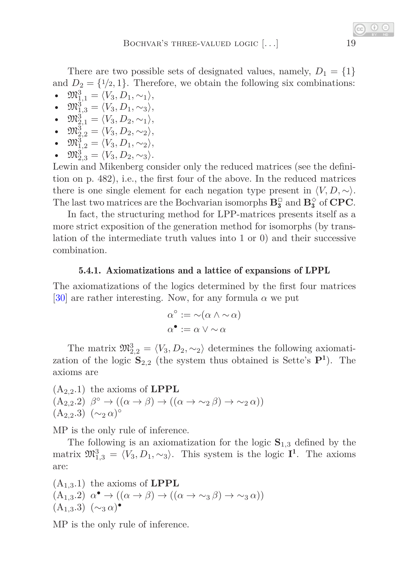There are two possible sets of designated values, namely,  $D_1 = \{1\}$ and  $D_2 = \{1/2, 1\}$ . Therefore, we obtain the following six combinations:

- $\mathfrak{M}^3_{1,1} = \langle V_3, D_1, \sim_1 \rangle$ ,
- $\mathfrak{M}_{1,3}^3 = \langle V_3, D_1, \sim_3 \rangle$ , •  $\mathfrak{M}_{2,1}^3 = \langle V_3, D_2, \sim_1 \rangle$ ,
- $\mathfrak{M}_{2,2}^3 = \langle V_3, D_2, \sim_2 \rangle$ ,
- $\mathfrak{M}_{1,2}^3 = \langle V_3, D_1, \sim_2 \rangle$ ,
- $\mathfrak{M}_{2,3}^3 = \langle V_3, D_2, \sim_3 \rangle.$

Lewin and Mikenberg consider only the reduced matrices (see the definition on p. 482), i.e., the first four of the above. In the reduced matrices there is one single element for each negation type present in  $\langle V, D, \sim \rangle$ . The last two matrices are the Bochvarian isomorphs  $\mathbf{B}_{3}^{\square}$  and  $\mathbf{B}_{3}^{\diamond}$  of **CPC**.

In fact, the structuring method for LPP-matrices presents itself as a more strict exposition of the generation method for isomorphs (by translation of the intermediate truth values into 1 or 0) and their successive combination.

# 5.4.1. Axiomatizations and a lattice of expansions of LPPL

The axiomatizations of the logics determined by the first four matrices [\[30\]](#page-27-13) are rather interesting. Now, for any formula  $\alpha$  we put

$$
\alpha^{\circ} := \neg(\alpha \land \neg \alpha)
$$

$$
\alpha^{\bullet} := \alpha \lor \neg \alpha
$$

The matrix  $\mathfrak{M}_{2,2}^3 = \langle V_3, D_2, \sim_2 \rangle$  determines the following axiomatization of the logic  $\mathbf{S}_{2,2}$  (the system thus obtained is Sette's  $\mathbf{P}^1$ ). The axioms are

(A2*,*2.1) the axioms of **LPPL**  $(A_{2,2}.2)$   $\beta^{\circ} \rightarrow ((\alpha \rightarrow \beta) \rightarrow ((\alpha \rightarrow \sim_2 \beta) \rightarrow \sim_2 \alpha))$ (A2*,*2.3) (∼<sup>2</sup> *α*) ◦

MP is the only rule of inference.

The following is an axiomatization for the logic  $S_{1,3}$  defined by the matrix  $\mathfrak{M}_{1,3}^3 = \langle V_3, D_1, \sim_3 \rangle$ . This system is the logic **I**<sup>1</sup>. The axioms are:

(A<sub>1,3</sub>.1) the axioms of **LPPL**  
\n(A<sub>1,3</sub>.2) 
$$
\alpha^{\bullet} \rightarrow ((\alpha \rightarrow \beta) \rightarrow ((\alpha \rightarrow \sim_3 \beta) \rightarrow \sim_3 \alpha))
$$
  
\n(A<sub>1,3</sub>.3)  $(\sim_3 \alpha)^{\bullet}$ 

MP is the only rule of inference.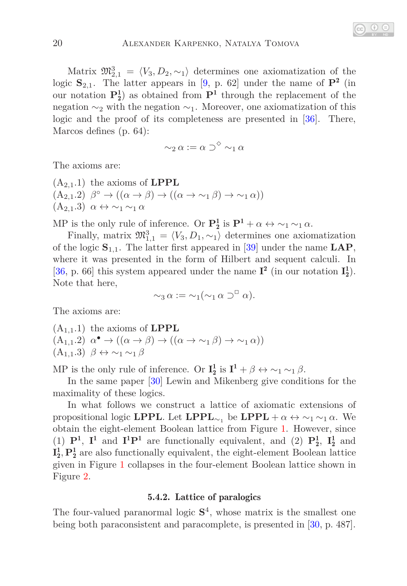Matrix  $\mathfrak{M}_{2,1}^3 = \langle V_3, D_2, \sim_1 \rangle$  determines one axiomatization of the logic **S**2*,*1. The latter appears in [\[9,](#page-25-8) p. 62] under the name of **P**<sup>2</sup> (in our notation  $P_2^1$  as obtained from  $P_1$  through the replacement of the negation  $\sim_2$  with the negation  $\sim_1$ . Moreover, one axiomatization of this logic and the proof of its completeness are presented in [\[36\]](#page-27-11). There, Marcos defines (p. 64):

$$
\mathop{\sim_2} \alpha := \alpha \supset^{\Diamond} \mathop{\sim_1} \alpha
$$

The axioms are:

(A2*,*1.1) the axioms of **LPPL**  $(A_{2,1}.2)$   $\beta^{\circ} \rightarrow ((\alpha \rightarrow \beta) \rightarrow ((\alpha \rightarrow \sim_1 \beta) \rightarrow \sim_1 \alpha))$ (A2*,*1.3) *α* ↔ ∼<sup>1</sup> ∼<sup>1</sup> *α*

MP is the only rule of inference. Or  $\mathbf{P}_2^1$  is  $\mathbf{P}^1 + \alpha \leftrightarrow \sim_1 \sim_1 \alpha$ .

Finally, matrix  $\mathfrak{M}^3_{1,1} = \langle V_3, D_1, \sim_1 \rangle$  determines one axiomatization of the logic **S**1*,*1. The latter first appeared in [\[39\]](#page-27-14) under the name **LAP**, where it was presented in the form of Hilbert and sequent calculi. In [\[36,](#page-27-11) p. 66] this system appeared under the name  $I^2$  (in our notation  $I_2^1$ ). Note that here,

$$
\sim_3 \alpha := \sim_1 (\sim_1 \alpha \supset^{\Box} \alpha).
$$

The axioms are:

(A<sub>1,1</sub>.1) the axioms of **LPPL**  
\n(A<sub>1,1</sub>.2) 
$$
\alpha^{\bullet} \rightarrow ((\alpha \rightarrow \beta) \rightarrow ((\alpha \rightarrow \sim_1 \beta) \rightarrow \sim_1 \alpha))
$$
  
\n(A<sub>1,1</sub>.3)  $\beta \leftrightarrow \sim_1 \sim_1 \beta$ 

MP is the only rule of inference. Or  $I_2^1$  is  $I^1 + \beta \leftrightarrow \sim_1 \sim_1 \beta$ .

In the same paper [\[30\]](#page-27-13) Lewin and Mikenberg give conditions for the maximality of these logics.

In what follows we construct a lattice of axiomatic extensions of propositional logic **LPPL**. Let **LPPL**<sub>∼1</sub> be **LPPL** +  $\alpha \leftrightarrow \sim_1 \sim_1 \alpha$ . We obtain the eight-element Boolean lattice from Figure [1.](#page-20-0) However, since (1)  $\mathbf{P}^1$ ,  $\mathbf{I}^1$  and  $\mathbf{I}^1\mathbf{P}^1$  are functionally equivalent, and (2)  $\mathbf{P}^1_2$ ,  $\mathbf{I}^1_2$  and  $\mathbf{I}_2^1, \mathbf{P}_2^1$  are also functionally equivalent, the eight-element Boolean lattice given in Figure [1](#page-20-0) collapses in the four-element Boolean lattice shown in Figure [2.](#page-20-1)

## 5.4.2. Lattice of paralogics

<span id="page-19-0"></span>The four-valued paranormal logic  $S<sup>4</sup>$ , whose matrix is the smallest one being both paraconsistent and paracomplete, is presented in [\[30,](#page-27-13) p. 487].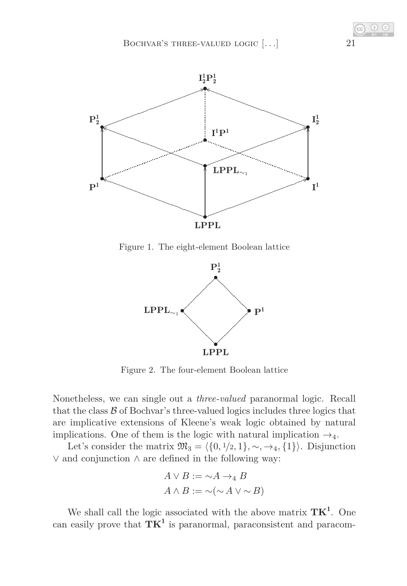

Figure 1. The eight-element Boolean lattice

<span id="page-20-0"></span>

<span id="page-20-1"></span>Figure 2. The four-element Boolean lattice

Nonetheless, we can single out a *three-valued* paranormal logic. Recall that the class  $\beta$  of Bochvar's three-valued logics includes three logics that are implicative extensions of Kleene's weak logic obtained by natural implications. One of them is the logic with natural implication  $\rightarrow_4$ .

Let's consider the matrix  $\mathfrak{M}_3 = \langle \{0, 1/2, 1\}, \sim, \rightarrow_4, \{1\} \rangle$ . Disjunction ∨ and conjunction ∧ are defined in the following way:

$$
A \lor B := \sim A \to_4 B
$$
  

$$
A \land B := \sim (\sim A \lor \sim B)
$$

We shall call the logic associated with the above matrix  $TK^1$ . One can easily prove that **TK**<sup>1</sup> is paranormal, paraconsistent and paracom-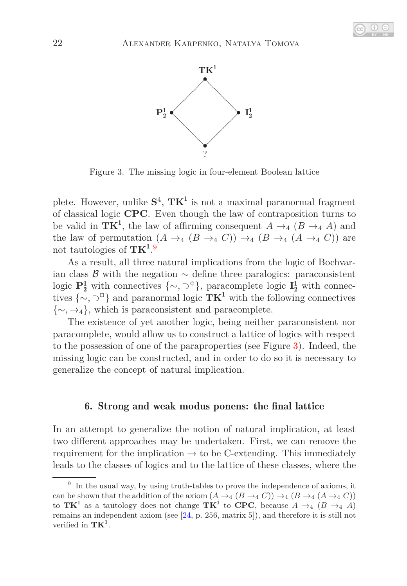



<span id="page-21-1"></span>Figure 3. The missing logic in four-element Boolean lattice

plete. However, unlike **S** 4 , **TK**<sup>1</sup> is not a maximal paranormal fragment of classical logic **CPC**. Even though the law of contraposition turns to be valid in  $TK^1$ , the law of affirming consequent  $A \rightarrow_A (B \rightarrow_A A)$  and the law of permutation  $(A \rightarrow_4 (B \rightarrow_4 C)) \rightarrow_4 (B \rightarrow_4 (A \rightarrow_4 C))$  are not tautologies of **TK**<sup>1</sup> . [9](#page-21-0)

As a result, all three natural implications from the logic of Bochvarian class B with the negation  $\sim$  define three paralogics: paraconsistent logic  $\mathbf{P}_2^1$  with connectives  $\{\sim, \supset^{\diamond}\}$ , paracomplete logic  $\mathbf{I}_2^1$  with connectives  $\{\sim, \supset^{\Box}\}$  and paranormal logic **TK<sup>1</sup>** with the following connectives {∼*,* →4}, which is paraconsistent and paracomplete.

The existence of yet another logic, being neither paraconsistent nor paracomplete, would allow us to construct a lattice of logics with respect to the possession of one of the paraproperties (see Figure [3\)](#page-21-1). Indeed, the missing logic can be constructed, and in order to do so it is necessary to generalize the concept of natural implication.

### 6. Strong and weak modus ponens: the final lattice

In an attempt to generalize the notion of natural implication, at least two different approaches may be undertaken. First, we can remove the requirement for the implication  $\rightarrow$  to be C-extending. This immediately leads to the classes of logics and to the lattice of these classes, where the

<span id="page-21-0"></span><sup>&</sup>lt;sup>9</sup> In the usual way, by using truth-tables to prove the independence of axioms, it can be shown that the addition of the axiom  $(A \rightarrow_A (B \rightarrow_A C)) \rightarrow_A (B \rightarrow_A (A \rightarrow_A C))$ to  $TK<sup>1</sup>$  as a tautology does not change  $TK<sup>1</sup>$  to  $CPC$ , because  $A \rightarrow_4 (B \rightarrow_4 A)$ remains an independent axiom (see  $[24, p. 256, matrix 5]$ ), and therefore it is still not verified in **TK**<sup>1</sup> .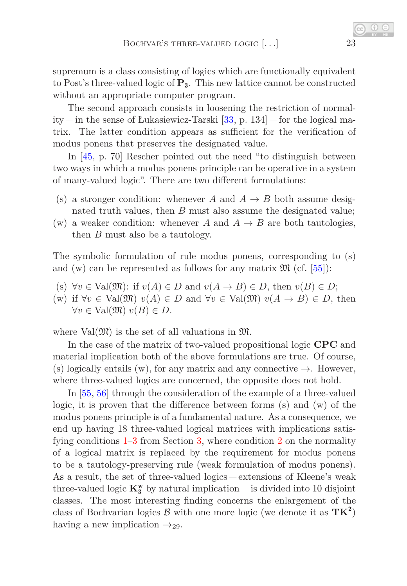supremum is a class consisting of logics which are functionally equivalent to Post's three-valued logic of **P**3. This new lattice cannot be constructed without an appropriate computer program.

The second approach consists in loosening the restriction of normality  $-$  in the sense of Łukasiewicz-Tarski [\[33,](#page-27-0) p. 134]  $-$  for the logical matrix. The latter condition appears as sufficient for the verification of modus ponens that preserves the designated value.

In [\[45,](#page-28-5) p. 70] Rescher pointed out the need "to distinguish between two ways in which a modus ponens principle can be operative in a system of many-valued logic". There are two different formulations:

- (s) a stronger condition: whenever *A* and  $A \rightarrow B$  both assume designated truth values, then *B* must also assume the designated value;
- (w) a weaker condition: whenever *A* and  $A \rightarrow B$  are both tautologies, then *B* must also be a tautology.

The symbolic formulation of rule modus ponens, corresponding to (s) and (w) can be represented as follows for any matrix  $\mathfrak{M}$  (cf. [\[55\]](#page-28-13)):

- (s)  $\forall v \in \text{Val}(\mathfrak{M})$ : if  $v(A) \in D$  and  $v(A \to B) \in D$ , then  $v(B) \in D$ ;
- (w) if  $\forall v \in \text{Val}(\mathfrak{M}) \ v(A) \in D$  and  $\forall v \in \text{Val}(\mathfrak{M}) \ v(A \rightarrow B) \in D$ , then  $∀v ∈ Val( $\mathfrak{M}$ <sup>*v*</sup> $(B) ∈ D$ .$

where  $Val(\mathfrak{M})$  is the set of all valuations in  $\mathfrak{M}$ .

In the case of the matrix of two-valued propositional logic **CPC** and material implication both of the above formulations are true. Of course, (s) logically entails (w), for any matrix and any connective  $\rightarrow$ . However, where three-valued logics are concerned, the opposite does not hold.

In [\[55,](#page-28-13) [56\]](#page-28-14) through the consideration of the example of a three-valued logic, it is proven that the difference between forms (s) and (w) of the modus ponens principle is of a fundamental nature. As a consequence, we end up having 18 three-valued logical matrices with implications satisfying conditions  $1-3$  $1-3$  from Section [3,](#page-3-2) where condition [2](#page-3-3) on the normality of a logical matrix is replaced by the requirement for modus ponens to be a tautology-preserving rule (weak formulation of modus ponens). As a result, the set of three-valued logics – extensions of Kleene's weak three-valued logic  $\mathbf{K^w_3}$  by natural implication — is divided into 10 disjoint classes. The most interesting finding concerns the enlargement of the class of Bochvarian logics  $\mathcal{B}$  with one more logic (we denote it as  $TK^2$ ) having a new implication  $\rightarrow_{29}$ .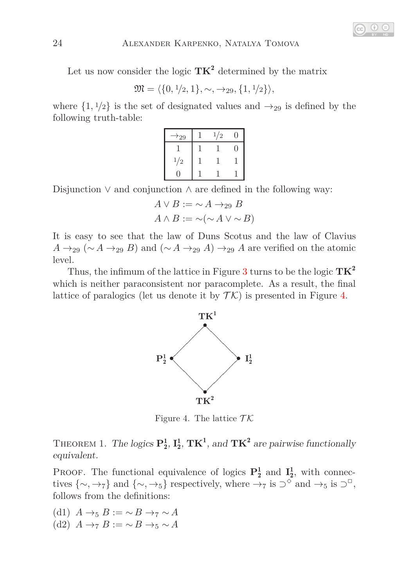Let us now consider the logic **TK**<sup>2</sup> determined by the matrix

 $\mathfrak{M} = \langle \{0, 1/2, 1\}, \sim, \rightarrow_{29}, \{1, 1/2\} \rangle,$ 

where  $\{1, \frac{1}{2}\}$  is the set of designated values and  $\rightarrow_{29}$  is defined by the following truth-table:

| $\scriptstyle{\star_{29}}$ | 1/2 |  |
|----------------------------|-----|--|
|                            |     |  |
| 1/2                        |     |  |
|                            |     |  |

Disjunction ∨ and conjunction ∧ are defined in the following way:

$$
A \lor B := \sim A \to_{29} B
$$

$$
A \land B := \sim (\sim A \lor \sim B)
$$

It is easy to see that the law of Duns Scotus and the law of Clavius  $A \rightarrow_{29} (\sim A \rightarrow_{29} B)$  and  $(\sim A \rightarrow_{29} A) \rightarrow_{29} A$  are verified on the atomic level.

Thus, the infimum of the lattice in Figure [3](#page-21-1) turns to be the logic **TK**<sup>2</sup> which is neither paraconsistent nor paracomplete. As a result, the final lattice of paralogics (let us denote it by  $\mathcal{T}\mathcal{K}$ ) is presented in Figure [4.](#page-23-0)



<span id="page-23-0"></span>Figure 4. The lattice  $\mathcal{TK}$ 

THEOREM 1. The logics  $\mathbf{P}_2^1$ ,  $\mathbf{I}_2^1$ ,  $\mathbf{TK}^1$ , and  $\mathbf{TK}^2$  are pairwise functionally equivalent.

**PROOF.** The functional equivalence of logics  $\mathbf{P}_2^1$  and  $\mathbf{I}_2^1$ , with connectives  $\{\sim, \to_7\}$  and  $\{\sim, \to_5\}$  respectively, where  $\to_7$  is  $\supset^\circ$  and  $\to_5$  is  $\supset^\circ$ , follows from the definitions:

- <span id="page-23-2"></span><span id="page-23-1"></span>(d1) *A* →<sup>5</sup> *B* := ∼ *B* →<sup>7</sup> ∼ *A*
- (d2) *A* →<sup>7</sup> *B* := ∼ *B* →<sup>5</sup> ∼ *A*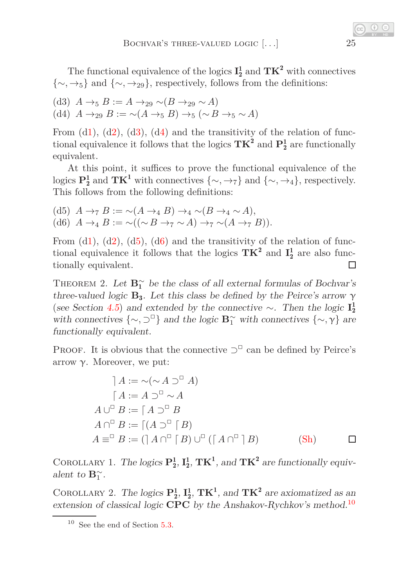The functional equivalence of the logics  $I_2^1$  and  $TK^2$  with connectives {∼*,* →5} and {∼*,* →29}, respectively, follows from the definitions:

- <span id="page-24-1"></span><span id="page-24-0"></span>(d3) *A* →<sup>5</sup> *B* := *A* →<sup>29</sup> ∼(*B* →<sup>29</sup> ∼ *A*)
- (d4)  $A \rightarrow_{29} B := \neg(A \rightarrow_5 B) \rightarrow_5 (\sim B \rightarrow_5 \sim A)$

From  $(d1)$  $(d1)$ ,  $(d2)$  $(d2)$ ,  $(d3)$  $(d3)$ ,  $(d4)$  $(d4)$  and the transitivity of the relation of functional equivalence it follows that the logics  $TK^2$  and  $P_2^1$  are functionally equivalent.

At this point, it suffices to prove the functional equivalence of the logics  $\mathbf{P}_2^1$  and  $\mathbf{TK}^1$  with connectives  $\{\sim, \rightarrow_7\}$  and  $\{\sim, \rightarrow_4\}$ , respectively. This follows from the following definitions:

<span id="page-24-3"></span><span id="page-24-2"></span>(d5)  $A \rightarrow_7 B := \sim(A \rightarrow_4 B) \rightarrow_4 \sim(B \rightarrow_4 \sim A)$ , (d6)  $A \rightarrow_{4} B := \sim ((\sim B \rightarrow_{7} \sim A) \rightarrow_{7} \sim (A \rightarrow_{7} B)).$ 

From  $(d1)$  $(d1)$ ,  $(d2)$  $(d2)$ ,  $(d5)$  $(d5)$ ,  $(d6)$  $(d6)$  and the transitivity of the relation of functional equivalence it follows that the logics  $TK^2$  and  $I_2^1$  are also functionally equivalent.  $\Box$ 

THEOREM 2. Let  $\mathbf{B}_{1}^{\sim}$  be the class of all external formulas of Bochvar's three-valued logic  $\mathbf{B}_3$ . Let this class be defined by the Peirce's arrow  $\gamma$ (see Section [4.5](#page-9-0)) and extended by the connective ∼. Then the logic **I** 1 2 with connectives  $\{\sim, \supset^{\Box}\}$  and the logic **B**<sup>∼</sup><sub>1</sub> with connectives  $\{\sim, \gamma\}$  are functionally equivalent.

PROOF. It is obvious that the connective  $\supset^{\Box}$  can be defined by Peirce's arrow  $γ$ . Moreover, we put:

$$
A := \sim (\sim A \supset^{\square} A)
$$
  
\n
$$
[A := A \supset^{\square} \sim A
$$
  
\n
$$
A \cup^{\square} B := [A \supset^{\square} B]
$$
  
\n
$$
A \cap^{\square} B := [(A \supset^{\square} [B)]
$$
  
\n
$$
A \equiv^{\square} B := ([A \cap^{\square} [B) \cup^{\square} ([A \cap^{\square} [B]) \qquad (Sh)) \qquad \square
$$

COROLLARY 1. The logics  $\mathbf{P}_2^1$ ,  $\mathbf{I}_2^1$ ,  $\mathbf{TK}^1$ , and  $\mathbf{TK}^2$  are functionally equivalent to  $\mathbf{B}_1^{\sim}$ .

COROLLARY 2. The logics  $\mathbf{P}_2^1$ ,  $\mathbf{I}_2^1$ ,  $\mathbf{TK}^1$ , and  $\mathbf{TK}^2$  are axiomatized as an extension of classical logic **CPC** by the Anshakov-Rychkov's method.[10](#page-24-4)

<span id="page-24-4"></span> $10$  See the end of Section [5.3.](#page-13-0)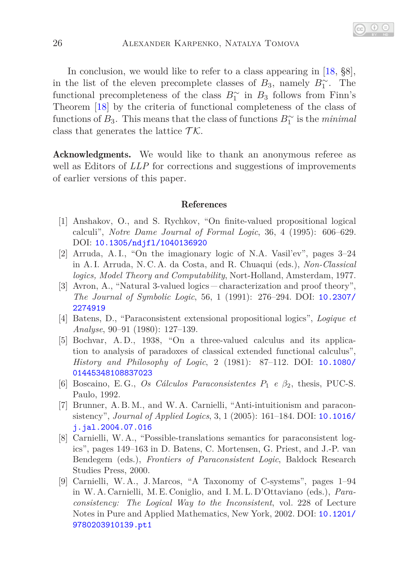In conclusion, we would like to refer to a class appearing in [\[18,](#page-26-6)  $\S 8$ ], in the list of the eleven precomplete classes of  $B_3$ , namely  $B_1^{\sim}$ . The functional precompleteness of the class  $B_1^{\sim}$  in  $B_3$  follows from Finn's Theorem [\[18\]](#page-26-6) by the criteria of functional completeness of the class of functions of  $B_3$ . This means that the class of functions  $B_1^{\sim}$  is the *minimal* class that generates the lattice  $\mathcal{TK}$ .

Acknowledgments. We would like to thank an anonymous referee as well as Editors of *LLP* for corrections and suggestions of improvements of earlier versions of this paper.

#### References

- <span id="page-25-7"></span>[1] Anshakov, O., and S. Rychkov, "On finite-valued propositional logical calculi", *Notre Dame Journal of Formal Logic*, 36, 4 (1995): 606–629. DOI: [10.1305/ndjfl/1040136920](http://dx.doi.org/10.1305/ndjfl/1040136920)
- <span id="page-25-4"></span>[2] Arruda, A. I., "On the imagionary logic of N.A. Vasil'ev", pages 3–24 in A. I. Arruda, N. C. A. da Costa, and R. Chuaqui (eds.), *Non-Classical logics, Model Theory and Computability*, Nort-Holland, Amsterdam, 1977.
- <span id="page-25-1"></span>[3] Avron, A., "Natural 3-valued logics characterization and proof theory", *The Journal of Symbolic Logic*, 56, 1 (1991): 276–294. DOI: [10.2307/](http://dx.doi.org/10.2307/2274919) [2274919](http://dx.doi.org/10.2307/2274919)
- <span id="page-25-2"></span>[4] Batens, D., "Paraconsistent extensional propositional logics", *Logique et Analyse*, 90–91 (1980): 127–139.
- <span id="page-25-0"></span>[5] Bochvar, A. D., 1938, "On a three-valued calculus and its application to analysis of paradoxes of classical extended functional calculus", *History and Philosophy of Logic*, 2 (1981): 87–112. DOI: [10.1080/](http://dx.doi.org/10.1080/01445348108837023) [01445348108837023](http://dx.doi.org/10.1080/01445348108837023)
- <span id="page-25-6"></span><span id="page-25-3"></span>[6] Boscaino, E. G., *Os Cálculos Paraconsistentes P*<sup>1</sup> *e β*2, thesis, PUC-S. Paulo, 1992.
- [7] Brunner, A. B. M., and W. A. Carnielli, "Anti-intuitionism and paraconsistency", *Journal of Applied Logics*, 3, 1 (2005): 161–184. DOI: [10.1016/](http://dx.doi.org/10.1016/j.jal.2004.07.016) [j.jal.2004.07.016](http://dx.doi.org/10.1016/j.jal.2004.07.016)
- <span id="page-25-5"></span>[8] Carnielli, W. A., "Possible-translations semantics for paraconsistent logics", pages 149–163 in D. Batens, C. Mortensen, G. Priest, and J.-P. van Bendegem (eds.), *Frontiers of Paraconsistent Logic*, Baldock Research Studies Press, 2000.
- <span id="page-25-8"></span>[9] Carnielli, W. A., J. Marcos, "A Taxonomy of C-systems", pages 1–94 in W. A. Carnielli, M. E. Coniglio, and I. M. L. D'Ottaviano (eds.), *Paraconsistency: The Logical Way to the Inconsistent*, vol. 228 of Lecture Notes in Pure and Applied Mathematics, New York, 2002. DOI: [10.1201/](http://dx.doi.org/10.1201/9780203910139.pt1) [9780203910139.pt1](http://dx.doi.org/10.1201/9780203910139.pt1)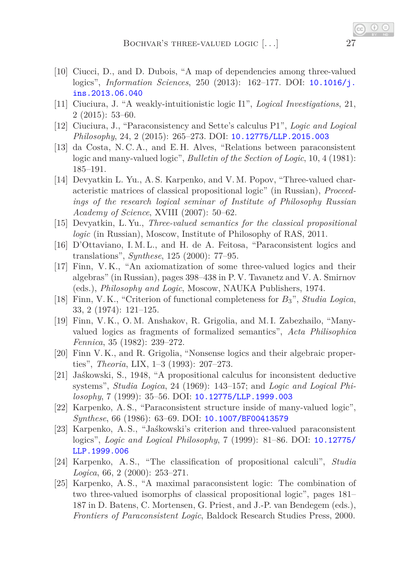- <span id="page-26-2"></span>[10] Ciucci, D., and D. Dubois, "A map of dependencies among three-valued logics", *Information Sciences*, 250 (2013): 162–177. DOI: [10.1016/j.](http://dx.doi.org/10.1016/j.ins.2013.06.040) [ins.2013.06.040](http://dx.doi.org/10.1016/j.ins.2013.06.040)
- <span id="page-26-11"></span>[11] Ciuciura, J. "A weakly-intuitionistic logic I1", *Logical Investigations*, 21, 2 (2015): 53–60.
- <span id="page-26-13"></span>[12] Ciuciura, J., "Paraconsistency and Sette's calculus P1", *Logic and Logical Philosophy*, 24, 2 (2015): 265–273. DOI: [10.12775/LLP.2015.003](http://dx.doi.org/10.12775/LLP.2015.003)
- <span id="page-26-12"></span>[13] da Costa, N. C. A., and E. H. Alves, "Relations between paraconsistent logic and many-valued logic", *Bulletin of the Section of Logic*, 10, 4 (1981): 185–191.
- <span id="page-26-3"></span>[14] Devyatkin L. Yu., A. S. Karpenko, and V. M. Popov, "Three-valued characteristic matrices of classical propositional logic" (in Russian), *Proceedings of the research logical seminar of Institute of Philosophy Russian Academy of Science*, XVIII (2007): 50–62.
- <span id="page-26-5"></span>[15] Devyatkin, L. Yu., *Three-valued semantics for the classical propositional logic* (in Russian), Moscow, Institute of Philosophy of RAS, 2011.
- <span id="page-26-14"></span>[16] D'Ottaviano, I.M.L., and H. de A. Feitosa, "Paraconsistent logics and translations", *Synthese*, 125 (2000): 77–95.
- <span id="page-26-4"></span>[17] Finn, V. K., "An axiomatization of some three-valued logics and their algebras" (in Russian), pages 398–438 in P. V. Tavanetz and V. A. Smirnov (eds.), *Philosophy and Logic*, Moscow, NAUKA Publishers, 1974.
- <span id="page-26-6"></span>[18] Finn, V. K., "Criterion of functional completeness for *B*3", *Studia Logica*, 33, 2 (1974): 121–125.
- <span id="page-26-0"></span>[19] Finn, V. K., O. M. Anshakov, R. Grigolia, and M. I. Zabezhailo, "Manyvalued logics as fragments of formalized semantics", *Acta Philisophica Fennica*, 35 (1982): 239–272.
- <span id="page-26-1"></span>[20] Finn V. K., and R. Grigolia, "Nonsense logics and their algebraic properties", *Theoria*, LIX, 1–3 (1993): 207–273.
- <span id="page-26-7"></span>[21] Jaśkowski, S., 1948, "A propositional calculus for inconsistent deductive systems", *Studia Logica*, 24 (1969): 143–157; and *Logic and Logical Philosophy*, 7 (1999): 35–56. DOI: [10.12775/LLP.1999.003](http://dx.doi.org/10.12775/LLP.1999.003)
- <span id="page-26-9"></span>[22] Karpenko, A. S., "Paraconsistent structure inside of many-valued logic", *Synthese*, 66 (1986): 63–69. DOI: [10.1007/BF00413579](http://dx.doi.org/10.1007/BF00413579)
- <span id="page-26-8"></span>[23] Karpenko, A. S., "Jaśkowski's criterion and three-valued paraconsistent logics", *Logic and Logical Philosophy*, 7 (1999): 81–86. DOI: [10.12775/](http://dx.doi.org/10.12775/LLP.1999.006) [LLP.1999.006](http://dx.doi.org/10.12775/LLP.1999.006)
- <span id="page-26-15"></span>[24] Karpenko, A. S., "The classification of propositional calculi", *Studia Logica*, 66, 2 (2000): 253–271.
- <span id="page-26-10"></span>[25] Karpenko, A.S., "A maximal paraconsistent logic: The combination of two three-valued isomorphs of classical propositional logic", pages 181– 187 in D. Batens, C. Mortensen, G. Priest, and J.-P. van Bendegem (eds.), *Frontiers of Paraconsistent Logic*, Baldock Research Studies Press, 2000.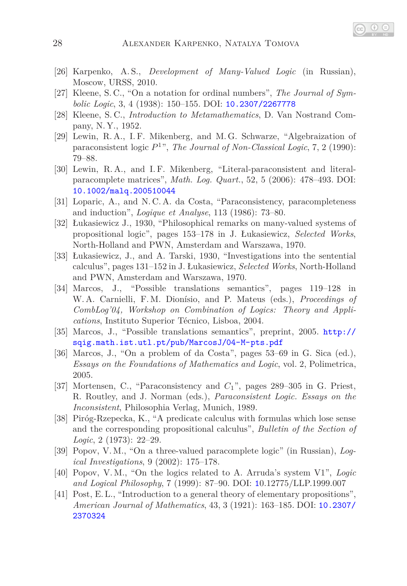- <span id="page-27-3"></span>[26] Karpenko, A. S., *Development of Many-Valued Logic* (in Russian), Moscow, URSS, 2010.
- <span id="page-27-1"></span>[27] Kleene, S. C., "On a notation for ordinal numbers", *The Journal of Symbolic Logic*, 3, 4 (1938): 150–155. DOI: [10.2307/2267778](http://dx.doi.org/10.2307/2267778)
- <span id="page-27-8"></span><span id="page-27-5"></span>[28] Kleene, S. C., *Introduction to Metamathematics*, D. Van Nostrand Company, N. Y., 1952.
- [29] Lewin, R. A., I. F. Mikenberg, and M. G. Schwarze, "Algebraization of paraconsistent logic *P* 1 ", *The Journal of Non-Classical Logic*, 7, 2 (1990): 79–88.
- <span id="page-27-13"></span>[30] Lewin, R. A., and I. F. Mikenberg, "Literal-paraconsistent and literalparacomplete matrices", *Math. Log. Quart.*, 52, 5 (2006): 478–493. DOI: [10.1002/malq.200510044](http://dx.doi.org/10.1002/malq.200510044)
- <span id="page-27-7"></span><span id="page-27-2"></span>[31] Loparic, A., and N. C. A. da Costa, "Paraconsistency, paracompleteness and induction", *Logique et Analyse*, 113 (1986): 73–80.
- [32] Łukasiewicz J., 1930, "Philosophical remarks on many-valued systems of propositional logic", pages 153–178 in J. Łukasiewicz, *Selected Works*, North-Holland and PWN, Amsterdam and Warszawa, 1970.
- <span id="page-27-0"></span>[33] Łukasiewicz, J., and A. Tarski, 1930, "Investigations into the sentential calculus", pages 131–152 in J. Łukasiewicz, *Selected Works*, North-Holland and PWN, Amsterdam and Warszawa, 1970.
- [34] Marcos, J., "Possible translations semantics", pages 119–128 in W. A. Carnielli, F. M. Dionísio, and P. Mateus (eds.), *Proceedings of CombLog'04, Workshop on Combination of Logics: Theory and Applications*, Instituto Superior Técnico, Lisboa, 2004.
- <span id="page-27-12"></span>[35] Marcos, J., "Possible translations semantics", preprint, 2005. [http://](http://sqig.math.ist.utl.pt/pub/MarcosJ/04-M-pts.pdf) [sqig.math.ist.utl.pt/pub/MarcosJ/04-M-pts.pdf](http://sqig.math.ist.utl.pt/pub/MarcosJ/04-M-pts.pdf)
- <span id="page-27-11"></span>[36] Marcos, J., "On a problem of da Costa", pages 53–69 in G. Sica (ed.), *Essays on the Foundations of Mathematics and Logic*, vol. 2, Polimetrica, 2005.
- <span id="page-27-9"></span>[37] Mortensen, C., "Paraconsistency and *C*1", pages 289–305 in G. Priest, R. Routley, and J. Norman (eds.), *Paraconsistent Logic. Essays on the Inconsistent*, Philosophia Verlag, Munich, 1989.
- <span id="page-27-4"></span>[38] Piróg-Rzepecka, K., "A predicate calculus with formulas which lose sense and the corresponding propositional calculus", *Bulletin of the Section of Logic*, 2 (1973): 22–29.
- <span id="page-27-14"></span>[39] Popov, V. M., "On a three-valued paracomplete logic" (in Russian), *Logical Investigations*, 9 (2002): 175–178.
- <span id="page-27-10"></span>[40] Popov, V. M., "On the logics related to A. Arruda's system V1", *Logic and Logical Philosophy*, 7 (1999): 87–90. DOI: [1](http://dx.doi.org/10.12775/LLP.1999.007)0.12775/LLP.1999.007
- <span id="page-27-6"></span>[41] Post, E. L., "Introduction to a general theory of elementary propositions", *American Journal of Mathematics*, 43, 3 (1921): 163–185. DOI: [10.2307/](http://dx.doi.org/10.2307/2370324) [2370324](http://dx.doi.org/10.2307/2370324)